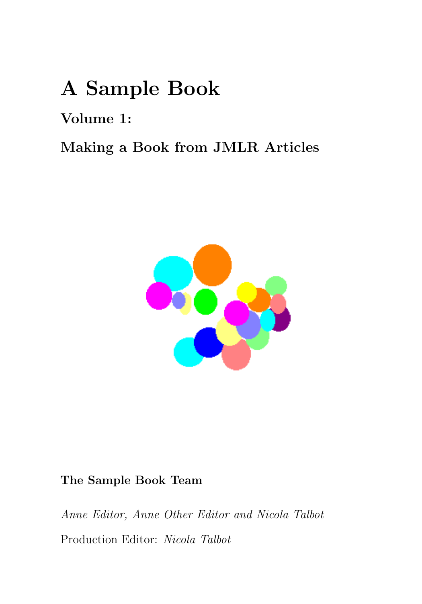# A Sample Book

# Volume 1:

# Making a Book from JMLR Articles



## The Sample Book Team

Anne Editor, Anne Other Editor and Nicola Talbot Production Editor: Nicola Talbot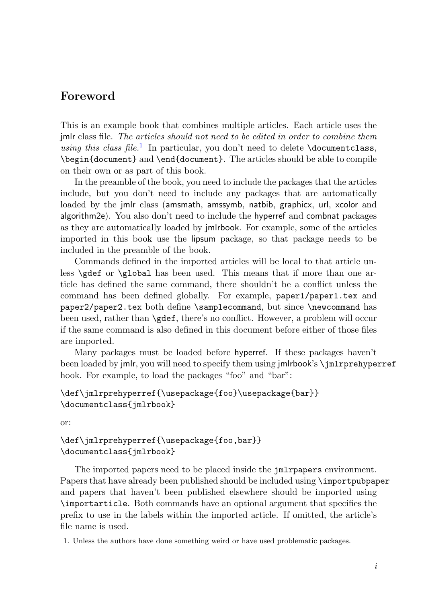### <span id="page-1-1"></span>Foreword

This is an example book that combines multiple articles. Each article uses the jmlr class file. The articles should not need to be edited in order to combine them using this class file.<sup>[1](#page-1-0)</sup> In particular, you don't need to delete **\documentclass**, \begin{document} and \end{document}. The articles should be able to compile on their own or as part of this book.

In the preamble of the book, you need to include the packages that the articles include, but you don't need to include any packages that are automatically loaded by the jmlr class (amsmath, amssymb, natbib, graphicx, url, xcolor and algorithm2e). You also don't need to include the hyperref and combnat packages as they are automatically loaded by jmlrbook. For example, some of the articles imported in this book use the lipsum package, so that package needs to be included in the preamble of the book.

Commands defined in the imported articles will be local to that article unless \gdef or \global has been used. This means that if more than one article has defined the same command, there shouldn't be a conflict unless the command has been defined globally. For example, paper1/paper1.tex and paper2/paper2.tex both define \samplecommand, but since \newcommand has been used, rather than \gdef, there's no conflict. However, a problem will occur if the same command is also defined in this document before either of those files are imported.

Many packages must be loaded before hyperref. If these packages haven't been loaded by jmlr, you will need to specify them using jmlrbook's \jmlrprehyperref hook. For example, to load the packages "foo" and "bar":

```
\def\jmlrprehyperref{\usepackage{foo}\usepackage{bar}}
\documentclass{jmlrbook}
```
or:

#### \def\jmlrprehyperref{\usepackage{foo,bar}} \documentclass{jmlrbook}

The imported papers need to be placed inside the jmlrpapers environment. Papers that have already been published should be included using \importpubpaper and papers that haven't been published elsewhere should be imported using \importarticle. Both commands have an optional argument that specifies the prefix to use in the labels within the imported article. If omitted, the article's file name is used.

<span id="page-1-0"></span><sup>1.</sup> Unless the authors have done something weird or have used problematic packages.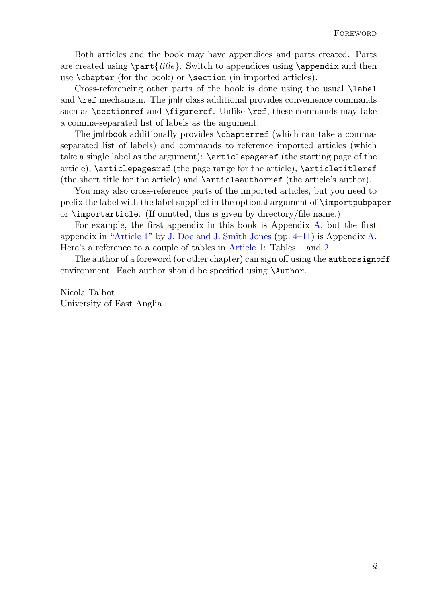Both articles and the book may have appendices and parts created. Parts are created using  $\part{title}$ . Switch to appendices using  $\apacksquare$  and then use \chapter (for the book) or \section (in imported articles).

Cross-referencing other parts of the book is done using the usual \label and \ref mechanism. The jmlr class additional provides convenience commands such as \sectionref and \figureref. Unlike \ref, these commands may take a comma-separated list of labels as the argument.

The jmlrbook additionally provides \chapterref (which can take a commaseparated list of labels) and commands to reference imported articles (which take a single label as the argument): \articlepageref (the starting page of the article), \articlepagesref (the page range for the article), \articletitleref (the short title for the article) and \articleauthorref (the article's author).

You may also cross-reference parts of the imported articles, but you need to prefix the label with the label supplied in the optional argument of \importpubpaper or \importarticle. (If omitted, this is given by directory/file name.)

For example, the first appendix in this book is Appendix  $A$ , but the first appendix in ["Article 1"](#page-9-0) by [J. Doe and J. Smith Jones](#page-9-0) (pp.  $4-11$ ) is Appendix [A.](#page-15-0) Here's a reference to a couple of tables in [Article 1:](#page-9-0) Tables [1](#page-12-0) and [2.](#page-13-0)

The author of a foreword (or other chapter) can sign off using the authorsignoff environment. Each author should be specified using **\Author.** 

<span id="page-2-0"></span>Nicola Talbot University of East Anglia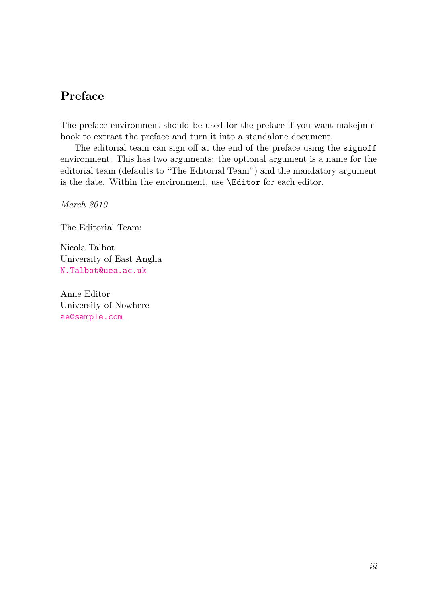## Preface

The preface environment should be used for the preface if you want makejmlrbook to extract the preface and turn it into a standalone document.

The editorial team can sign off at the end of the preface using the signoff environment. This has two arguments: the optional argument is a name for the editorial team (defaults to "The Editorial Team") and the mandatory argument is the date. Within the environment, use \Editor for each editor.

March 2010

The Editorial Team:

Nicola Talbot University of East Anglia [N.Talbot@uea.ac.uk](mailto:N.Talbot@uea.ac.uk)

Anne Editor University of Nowhere [ae@sample.com](mailto:ae@sample.com)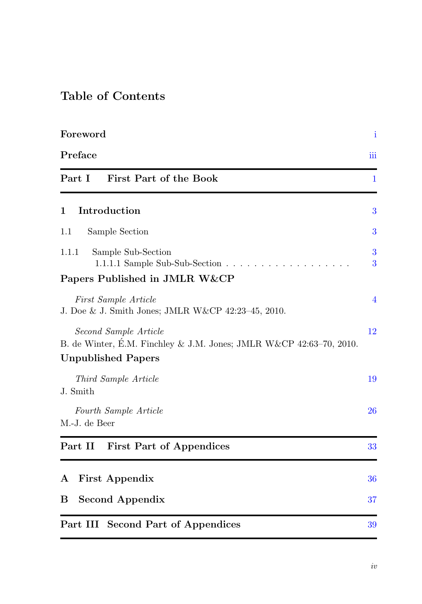# Table of Contents

| Foreword                                                                                                                  |                |
|---------------------------------------------------------------------------------------------------------------------------|----------------|
| Preface                                                                                                                   | iii            |
| <b>First Part of the Book</b><br>Part I                                                                                   | $\mathbf{1}$   |
| Introduction<br>1                                                                                                         | 3              |
| Sample Section<br>1.1                                                                                                     | 3              |
| Sample Sub-Section<br>1.1.1<br>1.1.1.1 Sample Sub-Sub-Section                                                             | 3<br>3         |
| Papers Published in JMLR W&CP                                                                                             |                |
| First Sample Article<br>J. Doe & J. Smith Jones; JMLR W&CP 42:23-45, 2010.                                                | $\overline{4}$ |
| Second Sample Article<br>B. de Winter, É.M. Finchley & J.M. Jones; JMLR W&CP 42:63-70, 2010.<br><b>Unpublished Papers</b> | 12             |
| Third Sample Article<br>J. Smith                                                                                          | 19             |
| Fourth Sample Article<br>M.-J. de Beer                                                                                    | 26             |
| <b>First Part of Appendices</b><br>Part II                                                                                | 33             |
| <b>First Appendix</b><br>$\mathbf{A}$                                                                                     | 36             |
| Second Appendix<br>В                                                                                                      | 37             |
| Part III Second Part of Appendices                                                                                        | 39             |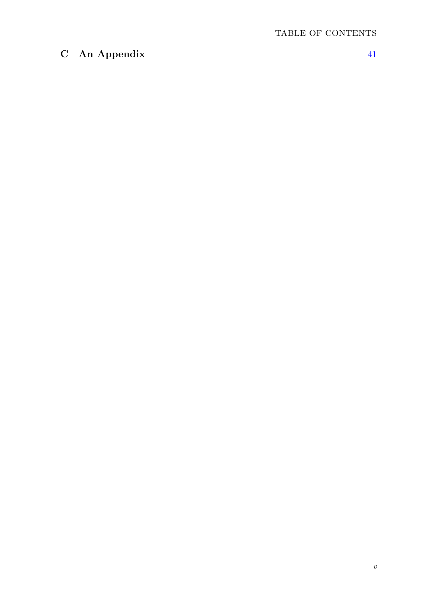# C An Appendix [41](#page-46-0)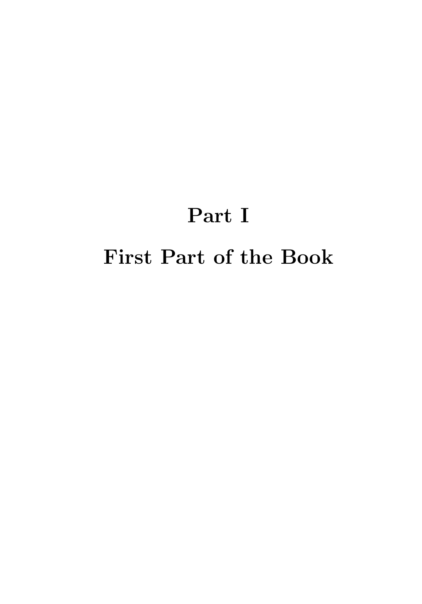# <span id="page-6-0"></span>Part I First Part of the Book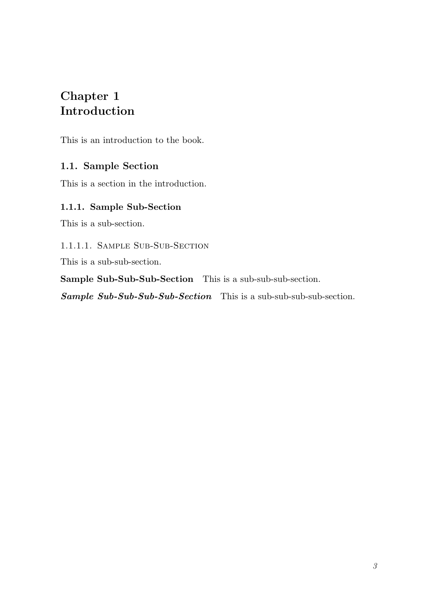# <span id="page-8-0"></span>Chapter 1 Introduction

This is an introduction to the book.

#### <span id="page-8-1"></span>1.1. Sample Section

This is a section in the introduction.

#### <span id="page-8-2"></span>1.1.1. Sample Sub-Section

This is a sub-section.

<span id="page-8-3"></span>1.1.1.1. Sample Sub-Sub-Section

This is a sub-sub-section.

Sample Sub-Sub-Sub-Section This is a sub-sub-sub-section.

Sample Sub-Sub-Sub-Sub-Section This is a sub-sub-sub-sub-section.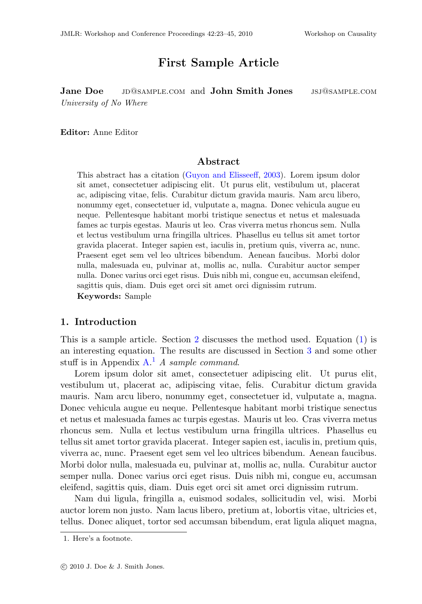### First Sample Article

<span id="page-9-1"></span><span id="page-9-0"></span>Jane Doe JD@SAMPLE.COM and John Smith Jones JSJ@SAMPLE.COM University of No Where

Editor: Anne Editor

#### Abstract

This abstract has a citation [\(Guyon and Elisseeff,](#page-14-0) [2003\)](#page-14-0). Lorem ipsum dolor sit amet, consectetuer adipiscing elit. Ut purus elit, vestibulum ut, placerat ac, adipiscing vitae, felis. Curabitur dictum gravida mauris. Nam arcu libero, nonummy eget, consectetuer id, vulputate a, magna. Donec vehicula augue eu neque. Pellentesque habitant morbi tristique senectus et netus et malesuada fames ac turpis egestas. Mauris ut leo. Cras viverra metus rhoncus sem. Nulla et lectus vestibulum urna fringilla ultrices. Phasellus eu tellus sit amet tortor gravida placerat. Integer sapien est, iaculis in, pretium quis, viverra ac, nunc. Praesent eget sem vel leo ultrices bibendum. Aenean faucibus. Morbi dolor nulla, malesuada eu, pulvinar at, mollis ac, nulla. Curabitur auctor semper nulla. Donec varius orci eget risus. Duis nibh mi, congue eu, accumsan eleifend, sagittis quis, diam. Duis eget orci sit amet orci dignissim rutrum. Keywords: Sample

#### 1. Introduction

This is a sample article. Section [2](#page-11-0) discusses the method used. Equation [\(1\)](#page-12-1) is an interesting equation. The results are discussed in Section [3](#page-12-2) and some other stuff is in Appendix  $A$ .<sup>[1](#page-9-2)</sup> A sample command.

Lorem ipsum dolor sit amet, consectetuer adipiscing elit. Ut purus elit, vestibulum ut, placerat ac, adipiscing vitae, felis. Curabitur dictum gravida mauris. Nam arcu libero, nonummy eget, consectetuer id, vulputate a, magna. Donec vehicula augue eu neque. Pellentesque habitant morbi tristique senectus et netus et malesuada fames ac turpis egestas. Mauris ut leo. Cras viverra metus rhoncus sem. Nulla et lectus vestibulum urna fringilla ultrices. Phasellus eu tellus sit amet tortor gravida placerat. Integer sapien est, iaculis in, pretium quis, viverra ac, nunc. Praesent eget sem vel leo ultrices bibendum. Aenean faucibus. Morbi dolor nulla, malesuada eu, pulvinar at, mollis ac, nulla. Curabitur auctor semper nulla. Donec varius orci eget risus. Duis nibh mi, congue eu, accumsan eleifend, sagittis quis, diam. Duis eget orci sit amet orci dignissim rutrum.

Nam dui ligula, fringilla a, euismod sodales, sollicitudin vel, wisi. Morbi auctor lorem non justo. Nam lacus libero, pretium at, lobortis vitae, ultricies et, tellus. Donec aliquet, tortor sed accumsan bibendum, erat ligula aliquet magna,

<span id="page-9-2"></span><sup>1.</sup> Here's a footnote.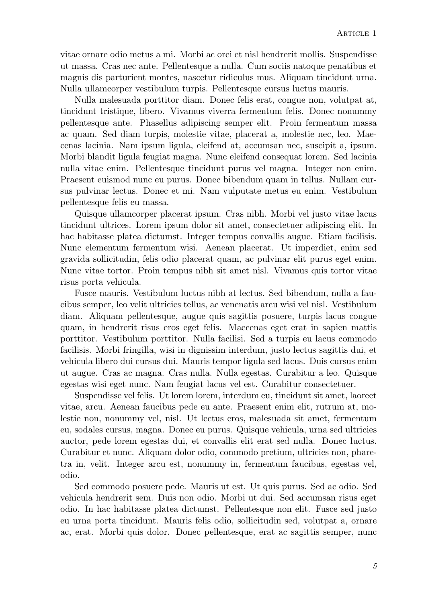vitae ornare odio metus a mi. Morbi ac orci et nisl hendrerit mollis. Suspendisse ut massa. Cras nec ante. Pellentesque a nulla. Cum sociis natoque penatibus et magnis dis parturient montes, nascetur ridiculus mus. Aliquam tincidunt urna. Nulla ullamcorper vestibulum turpis. Pellentesque cursus luctus mauris.

Nulla malesuada porttitor diam. Donec felis erat, congue non, volutpat at, tincidunt tristique, libero. Vivamus viverra fermentum felis. Donec nonummy pellentesque ante. Phasellus adipiscing semper elit. Proin fermentum massa ac quam. Sed diam turpis, molestie vitae, placerat a, molestie nec, leo. Maecenas lacinia. Nam ipsum ligula, eleifend at, accumsan nec, suscipit a, ipsum. Morbi blandit ligula feugiat magna. Nunc eleifend consequat lorem. Sed lacinia nulla vitae enim. Pellentesque tincidunt purus vel magna. Integer non enim. Praesent euismod nunc eu purus. Donec bibendum quam in tellus. Nullam cursus pulvinar lectus. Donec et mi. Nam vulputate metus eu enim. Vestibulum pellentesque felis eu massa.

Quisque ullamcorper placerat ipsum. Cras nibh. Morbi vel justo vitae lacus tincidunt ultrices. Lorem ipsum dolor sit amet, consectetuer adipiscing elit. In hac habitasse platea dictumst. Integer tempus convallis augue. Etiam facilisis. Nunc elementum fermentum wisi. Aenean placerat. Ut imperdiet, enim sed gravida sollicitudin, felis odio placerat quam, ac pulvinar elit purus eget enim. Nunc vitae tortor. Proin tempus nibh sit amet nisl. Vivamus quis tortor vitae risus porta vehicula.

Fusce mauris. Vestibulum luctus nibh at lectus. Sed bibendum, nulla a faucibus semper, leo velit ultricies tellus, ac venenatis arcu wisi vel nisl. Vestibulum diam. Aliquam pellentesque, augue quis sagittis posuere, turpis lacus congue quam, in hendrerit risus eros eget felis. Maecenas eget erat in sapien mattis porttitor. Vestibulum porttitor. Nulla facilisi. Sed a turpis eu lacus commodo facilisis. Morbi fringilla, wisi in dignissim interdum, justo lectus sagittis dui, et vehicula libero dui cursus dui. Mauris tempor ligula sed lacus. Duis cursus enim ut augue. Cras ac magna. Cras nulla. Nulla egestas. Curabitur a leo. Quisque egestas wisi eget nunc. Nam feugiat lacus vel est. Curabitur consectetuer.

Suspendisse vel felis. Ut lorem lorem, interdum eu, tincidunt sit amet, laoreet vitae, arcu. Aenean faucibus pede eu ante. Praesent enim elit, rutrum at, molestie non, nonummy vel, nisl. Ut lectus eros, malesuada sit amet, fermentum eu, sodales cursus, magna. Donec eu purus. Quisque vehicula, urna sed ultricies auctor, pede lorem egestas dui, et convallis elit erat sed nulla. Donec luctus. Curabitur et nunc. Aliquam dolor odio, commodo pretium, ultricies non, pharetra in, velit. Integer arcu est, nonummy in, fermentum faucibus, egestas vel, odio.

Sed commodo posuere pede. Mauris ut est. Ut quis purus. Sed ac odio. Sed vehicula hendrerit sem. Duis non odio. Morbi ut dui. Sed accumsan risus eget odio. In hac habitasse platea dictumst. Pellentesque non elit. Fusce sed justo eu urna porta tincidunt. Mauris felis odio, sollicitudin sed, volutpat a, ornare ac, erat. Morbi quis dolor. Donec pellentesque, erat ac sagittis semper, nunc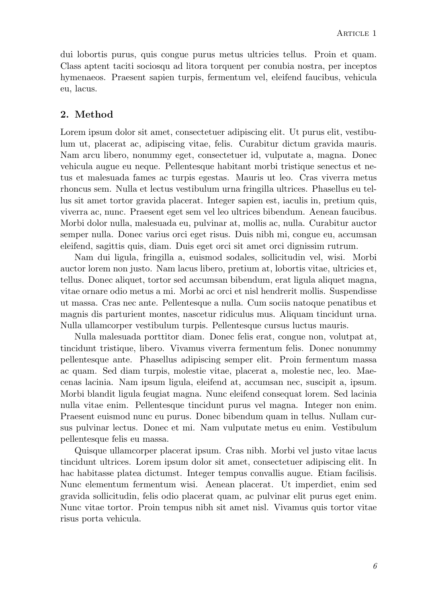dui lobortis purus, quis congue purus metus ultricies tellus. Proin et quam. Class aptent taciti sociosqu ad litora torquent per conubia nostra, per inceptos hymenaeos. Praesent sapien turpis, fermentum vel, eleifend faucibus, vehicula eu, lacus.

#### <span id="page-11-0"></span>2. Method

Lorem ipsum dolor sit amet, consectetuer adipiscing elit. Ut purus elit, vestibulum ut, placerat ac, adipiscing vitae, felis. Curabitur dictum gravida mauris. Nam arcu libero, nonummy eget, consectetuer id, vulputate a, magna. Donec vehicula augue eu neque. Pellentesque habitant morbi tristique senectus et netus et malesuada fames ac turpis egestas. Mauris ut leo. Cras viverra metus rhoncus sem. Nulla et lectus vestibulum urna fringilla ultrices. Phasellus eu tellus sit amet tortor gravida placerat. Integer sapien est, iaculis in, pretium quis, viverra ac, nunc. Praesent eget sem vel leo ultrices bibendum. Aenean faucibus. Morbi dolor nulla, malesuada eu, pulvinar at, mollis ac, nulla. Curabitur auctor semper nulla. Donec varius orci eget risus. Duis nibh mi, congue eu, accumsan eleifend, sagittis quis, diam. Duis eget orci sit amet orci dignissim rutrum.

Nam dui ligula, fringilla a, euismod sodales, sollicitudin vel, wisi. Morbi auctor lorem non justo. Nam lacus libero, pretium at, lobortis vitae, ultricies et, tellus. Donec aliquet, tortor sed accumsan bibendum, erat ligula aliquet magna, vitae ornare odio metus a mi. Morbi ac orci et nisl hendrerit mollis. Suspendisse ut massa. Cras nec ante. Pellentesque a nulla. Cum sociis natoque penatibus et magnis dis parturient montes, nascetur ridiculus mus. Aliquam tincidunt urna. Nulla ullamcorper vestibulum turpis. Pellentesque cursus luctus mauris.

Nulla malesuada porttitor diam. Donec felis erat, congue non, volutpat at, tincidunt tristique, libero. Vivamus viverra fermentum felis. Donec nonummy pellentesque ante. Phasellus adipiscing semper elit. Proin fermentum massa ac quam. Sed diam turpis, molestie vitae, placerat a, molestie nec, leo. Maecenas lacinia. Nam ipsum ligula, eleifend at, accumsan nec, suscipit a, ipsum. Morbi blandit ligula feugiat magna. Nunc eleifend consequat lorem. Sed lacinia nulla vitae enim. Pellentesque tincidunt purus vel magna. Integer non enim. Praesent euismod nunc eu purus. Donec bibendum quam in tellus. Nullam cursus pulvinar lectus. Donec et mi. Nam vulputate metus eu enim. Vestibulum pellentesque felis eu massa.

Quisque ullamcorper placerat ipsum. Cras nibh. Morbi vel justo vitae lacus tincidunt ultrices. Lorem ipsum dolor sit amet, consectetuer adipiscing elit. In hac habitasse platea dictumst. Integer tempus convallis augue. Etiam facilisis. Nunc elementum fermentum wisi. Aenean placerat. Ut imperdiet, enim sed gravida sollicitudin, felis odio placerat quam, ac pulvinar elit purus eget enim. Nunc vitae tortor. Proin tempus nibh sit amet nisl. Vivamus quis tortor vitae risus porta vehicula.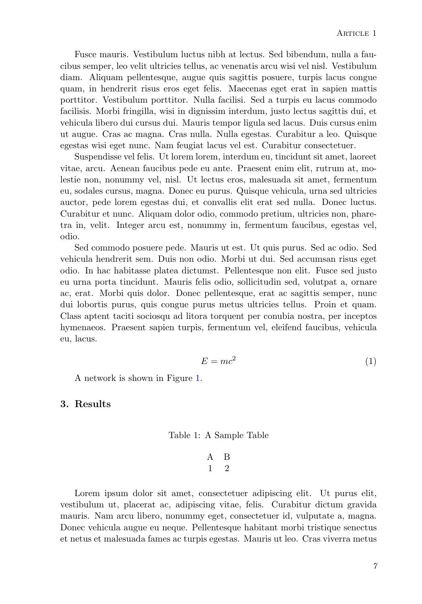Fusce mauris. Vestibulum luctus nibh at lectus. Sed bibendum, nulla a faucibus semper, leo velit ultricies tellus, ac venenatis arcu wisi vel nisl. Vestibulum diam. Aliquam pellentesque, augue quis sagittis posuere, turpis lacus congue quam, in hendrerit risus eros eget felis. Maecenas eget erat in sapien mattis porttitor. Vestibulum porttitor. Nulla facilisi. Sed a turpis eu lacus commodo facilisis. Morbi fringilla, wisi in dignissim interdum, justo lectus sagittis dui, et vehicula libero dui cursus dui. Mauris tempor ligula sed lacus. Duis cursus enim ut augue. Cras ac magna. Cras nulla. Nulla egestas. Curabitur a leo. Quisque egestas wisi eget nunc. Nam feugiat lacus vel est. Curabitur consectetuer.

Suspendisse vel felis. Ut lorem lorem, interdum eu, tincidunt sit amet, laoreet vitae, arcu. Aenean faucibus pede eu ante. Praesent enim elit, rutrum at, molestie non, nonummy vel, nisl. Ut lectus eros, malesuada sit amet, fermentum eu, sodales cursus, magna. Donec eu purus. Quisque vehicula, urna sed ultricies auctor, pede lorem egestas dui, et convallis elit erat sed nulla. Donec luctus. Curabitur et nunc. Aliquam dolor odio, commodo pretium, ultricies non, pharetra in, velit. Integer arcu est, nonummy in, fermentum faucibus, egestas vel, odio.

Sed commodo posuere pede. Mauris ut est. Ut quis purus. Sed ac odio. Sed vehicula hendrerit sem. Duis non odio. Morbi ut dui. Sed accumsan risus eget odio. In hac habitasse platea dictumst. Pellentesque non elit. Fusce sed justo eu urna porta tincidunt. Mauris felis odio, sollicitudin sed, volutpat a, ornare ac, erat. Morbi quis dolor. Donec pellentesque, erat ac sagittis semper, nunc dui lobortis purus, quis congue purus metus ultricies tellus. Proin et quam. Class aptent taciti sociosqu ad litora torquent per conubia nostra, per inceptos hymenaeos. Praesent sapien turpis, fermentum vel, eleifend faucibus, vehicula eu, lacus.

<span id="page-12-1"></span>
$$
E = mc^2 \tag{1}
$$

A network is shown in Figure [1.](#page-13-1)

#### <span id="page-12-2"></span>3. Results

Table 1: A Sample Table

<span id="page-12-0"></span>
$$
\begin{matrix} A & B \\ 1 & 2 \end{matrix}
$$

Lorem ipsum dolor sit amet, consectetuer adipiscing elit. Ut purus elit, vestibulum ut, placerat ac, adipiscing vitae, felis. Curabitur dictum gravida mauris. Nam arcu libero, nonummy eget, consectetuer id, vulputate a, magna. Donec vehicula augue eu neque. Pellentesque habitant morbi tristique senectus et netus et malesuada fames ac turpis egestas. Mauris ut leo. Cras viverra metus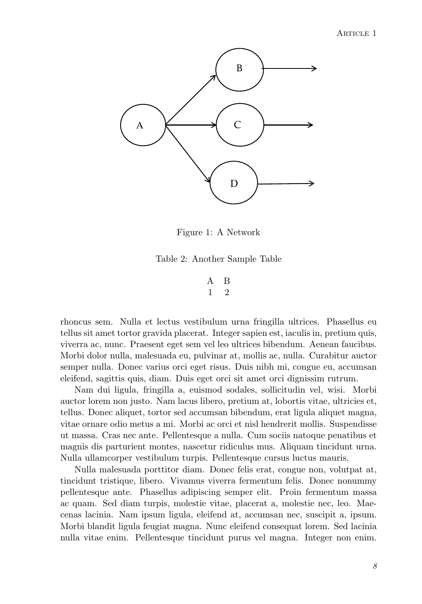

<span id="page-13-1"></span><span id="page-13-0"></span>Figure 1: A Network

Table 2: Another Sample Table

A B 1 2

rhoncus sem. Nulla et lectus vestibulum urna fringilla ultrices. Phasellus eu tellus sit amet tortor gravida placerat. Integer sapien est, iaculis in, pretium quis, viverra ac, nunc. Praesent eget sem vel leo ultrices bibendum. Aenean faucibus. Morbi dolor nulla, malesuada eu, pulvinar at, mollis ac, nulla. Curabitur auctor semper nulla. Donec varius orci eget risus. Duis nibh mi, congue eu, accumsan eleifend, sagittis quis, diam. Duis eget orci sit amet orci dignissim rutrum.

Nam dui ligula, fringilla a, euismod sodales, sollicitudin vel, wisi. Morbi auctor lorem non justo. Nam lacus libero, pretium at, lobortis vitae, ultricies et, tellus. Donec aliquet, tortor sed accumsan bibendum, erat ligula aliquet magna, vitae ornare odio metus a mi. Morbi ac orci et nisl hendrerit mollis. Suspendisse ut massa. Cras nec ante. Pellentesque a nulla. Cum sociis natoque penatibus et magnis dis parturient montes, nascetur ridiculus mus. Aliquam tincidunt urna. Nulla ullamcorper vestibulum turpis. Pellentesque cursus luctus mauris.

Nulla malesuada porttitor diam. Donec felis erat, congue non, volutpat at, tincidunt tristique, libero. Vivamus viverra fermentum felis. Donec nonummy pellentesque ante. Phasellus adipiscing semper elit. Proin fermentum massa ac quam. Sed diam turpis, molestie vitae, placerat a, molestie nec, leo. Maecenas lacinia. Nam ipsum ligula, eleifend at, accumsan nec, suscipit a, ipsum. Morbi blandit ligula feugiat magna. Nunc eleifend consequat lorem. Sed lacinia nulla vitae enim. Pellentesque tincidunt purus vel magna. Integer non enim.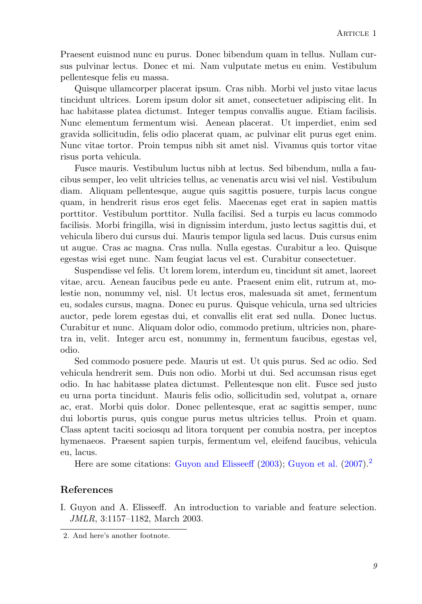Praesent euismod nunc eu purus. Donec bibendum quam in tellus. Nullam cursus pulvinar lectus. Donec et mi. Nam vulputate metus eu enim. Vestibulum pellentesque felis eu massa.

Quisque ullamcorper placerat ipsum. Cras nibh. Morbi vel justo vitae lacus tincidunt ultrices. Lorem ipsum dolor sit amet, consectetuer adipiscing elit. In hac habitasse platea dictumst. Integer tempus convallis augue. Etiam facilisis. Nunc elementum fermentum wisi. Aenean placerat. Ut imperdiet, enim sed gravida sollicitudin, felis odio placerat quam, ac pulvinar elit purus eget enim. Nunc vitae tortor. Proin tempus nibh sit amet nisl. Vivamus quis tortor vitae risus porta vehicula.

Fusce mauris. Vestibulum luctus nibh at lectus. Sed bibendum, nulla a faucibus semper, leo velit ultricies tellus, ac venenatis arcu wisi vel nisl. Vestibulum diam. Aliquam pellentesque, augue quis sagittis posuere, turpis lacus congue quam, in hendrerit risus eros eget felis. Maecenas eget erat in sapien mattis porttitor. Vestibulum porttitor. Nulla facilisi. Sed a turpis eu lacus commodo facilisis. Morbi fringilla, wisi in dignissim interdum, justo lectus sagittis dui, et vehicula libero dui cursus dui. Mauris tempor ligula sed lacus. Duis cursus enim ut augue. Cras ac magna. Cras nulla. Nulla egestas. Curabitur a leo. Quisque egestas wisi eget nunc. Nam feugiat lacus vel est. Curabitur consectetuer.

Suspendisse vel felis. Ut lorem lorem, interdum eu, tincidunt sit amet, laoreet vitae, arcu. Aenean faucibus pede eu ante. Praesent enim elit, rutrum at, molestie non, nonummy vel, nisl. Ut lectus eros, malesuada sit amet, fermentum eu, sodales cursus, magna. Donec eu purus. Quisque vehicula, urna sed ultricies auctor, pede lorem egestas dui, et convallis elit erat sed nulla. Donec luctus. Curabitur et nunc. Aliquam dolor odio, commodo pretium, ultricies non, pharetra in, velit. Integer arcu est, nonummy in, fermentum faucibus, egestas vel, odio.

Sed commodo posuere pede. Mauris ut est. Ut quis purus. Sed ac odio. Sed vehicula hendrerit sem. Duis non odio. Morbi ut dui. Sed accumsan risus eget odio. In hac habitasse platea dictumst. Pellentesque non elit. Fusce sed justo eu urna porta tincidunt. Mauris felis odio, sollicitudin sed, volutpat a, ornare ac, erat. Morbi quis dolor. Donec pellentesque, erat ac sagittis semper, nunc dui lobortis purus, quis congue purus metus ultricies tellus. Proin et quam. Class aptent taciti sociosqu ad litora torquent per conubia nostra, per inceptos hymenaeos. Praesent sapien turpis, fermentum vel, eleifend faucibus, vehicula eu, lacus.

Here are some citations: [Guyon and Elisseeff](#page-14-0) [\(2003\)](#page-14-0); [Guyon et al.](#page-15-1) [\(2007\)](#page-15-1).<sup>[2](#page-14-1)</sup>

#### References

<span id="page-14-0"></span>I. Guyon and A. Elisseeff. An introduction to variable and feature selection. JMLR, 3:1157–1182, March 2003.

<span id="page-14-1"></span><sup>2.</sup> And here's another footnote.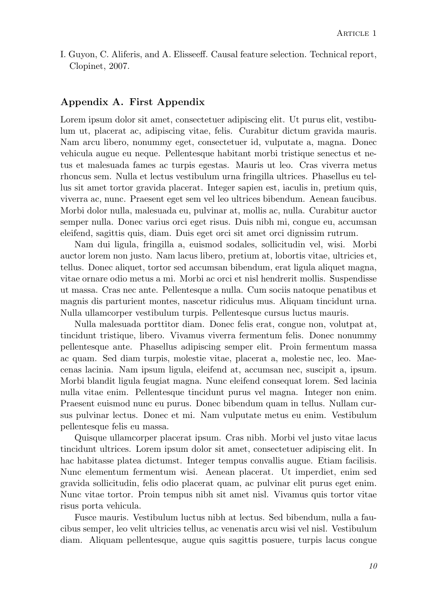<span id="page-15-1"></span>I. Guyon, C. Aliferis, and A. Elisseeff. Causal feature selection. Technical report, Clopinet, 2007.

#### <span id="page-15-0"></span>Appendix A. First Appendix

Lorem ipsum dolor sit amet, consectetuer adipiscing elit. Ut purus elit, vestibulum ut, placerat ac, adipiscing vitae, felis. Curabitur dictum gravida mauris. Nam arcu libero, nonummy eget, consectetuer id, vulputate a, magna. Donec vehicula augue eu neque. Pellentesque habitant morbi tristique senectus et netus et malesuada fames ac turpis egestas. Mauris ut leo. Cras viverra metus rhoncus sem. Nulla et lectus vestibulum urna fringilla ultrices. Phasellus eu tellus sit amet tortor gravida placerat. Integer sapien est, iaculis in, pretium quis, viverra ac, nunc. Praesent eget sem vel leo ultrices bibendum. Aenean faucibus. Morbi dolor nulla, malesuada eu, pulvinar at, mollis ac, nulla. Curabitur auctor semper nulla. Donec varius orci eget risus. Duis nibh mi, congue eu, accumsan eleifend, sagittis quis, diam. Duis eget orci sit amet orci dignissim rutrum.

Nam dui ligula, fringilla a, euismod sodales, sollicitudin vel, wisi. Morbi auctor lorem non justo. Nam lacus libero, pretium at, lobortis vitae, ultricies et, tellus. Donec aliquet, tortor sed accumsan bibendum, erat ligula aliquet magna, vitae ornare odio metus a mi. Morbi ac orci et nisl hendrerit mollis. Suspendisse ut massa. Cras nec ante. Pellentesque a nulla. Cum sociis natoque penatibus et magnis dis parturient montes, nascetur ridiculus mus. Aliquam tincidunt urna. Nulla ullamcorper vestibulum turpis. Pellentesque cursus luctus mauris.

Nulla malesuada porttitor diam. Donec felis erat, congue non, volutpat at, tincidunt tristique, libero. Vivamus viverra fermentum felis. Donec nonummy pellentesque ante. Phasellus adipiscing semper elit. Proin fermentum massa ac quam. Sed diam turpis, molestie vitae, placerat a, molestie nec, leo. Maecenas lacinia. Nam ipsum ligula, eleifend at, accumsan nec, suscipit a, ipsum. Morbi blandit ligula feugiat magna. Nunc eleifend consequat lorem. Sed lacinia nulla vitae enim. Pellentesque tincidunt purus vel magna. Integer non enim. Praesent euismod nunc eu purus. Donec bibendum quam in tellus. Nullam cursus pulvinar lectus. Donec et mi. Nam vulputate metus eu enim. Vestibulum pellentesque felis eu massa.

Quisque ullamcorper placerat ipsum. Cras nibh. Morbi vel justo vitae lacus tincidunt ultrices. Lorem ipsum dolor sit amet, consectetuer adipiscing elit. In hac habitasse platea dictumst. Integer tempus convallis augue. Etiam facilisis. Nunc elementum fermentum wisi. Aenean placerat. Ut imperdiet, enim sed gravida sollicitudin, felis odio placerat quam, ac pulvinar elit purus eget enim. Nunc vitae tortor. Proin tempus nibh sit amet nisl. Vivamus quis tortor vitae risus porta vehicula.

Fusce mauris. Vestibulum luctus nibh at lectus. Sed bibendum, nulla a faucibus semper, leo velit ultricies tellus, ac venenatis arcu wisi vel nisl. Vestibulum diam. Aliquam pellentesque, augue quis sagittis posuere, turpis lacus congue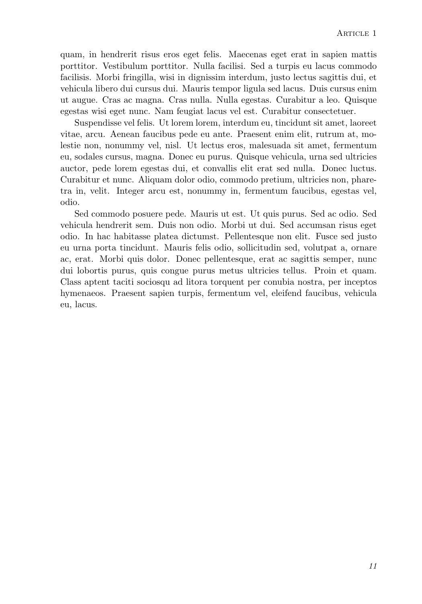quam, in hendrerit risus eros eget felis. Maecenas eget erat in sapien mattis porttitor. Vestibulum porttitor. Nulla facilisi. Sed a turpis eu lacus commodo facilisis. Morbi fringilla, wisi in dignissim interdum, justo lectus sagittis dui, et vehicula libero dui cursus dui. Mauris tempor ligula sed lacus. Duis cursus enim ut augue. Cras ac magna. Cras nulla. Nulla egestas. Curabitur a leo. Quisque egestas wisi eget nunc. Nam feugiat lacus vel est. Curabitur consectetuer.

Suspendisse vel felis. Ut lorem lorem, interdum eu, tincidunt sit amet, laoreet vitae, arcu. Aenean faucibus pede eu ante. Praesent enim elit, rutrum at, molestie non, nonummy vel, nisl. Ut lectus eros, malesuada sit amet, fermentum eu, sodales cursus, magna. Donec eu purus. Quisque vehicula, urna sed ultricies auctor, pede lorem egestas dui, et convallis elit erat sed nulla. Donec luctus. Curabitur et nunc. Aliquam dolor odio, commodo pretium, ultricies non, pharetra in, velit. Integer arcu est, nonummy in, fermentum faucibus, egestas vel, odio.

<span id="page-16-0"></span>Sed commodo posuere pede. Mauris ut est. Ut quis purus. Sed ac odio. Sed vehicula hendrerit sem. Duis non odio. Morbi ut dui. Sed accumsan risus eget odio. In hac habitasse platea dictumst. Pellentesque non elit. Fusce sed justo eu urna porta tincidunt. Mauris felis odio, sollicitudin sed, volutpat a, ornare ac, erat. Morbi quis dolor. Donec pellentesque, erat ac sagittis semper, nunc dui lobortis purus, quis congue purus metus ultricies tellus. Proin et quam. Class aptent taciti sociosqu ad litora torquent per conubia nostra, per inceptos hymenaeos. Praesent sapien turpis, fermentum vel, eleifend faucibus, vehicula eu, lacus.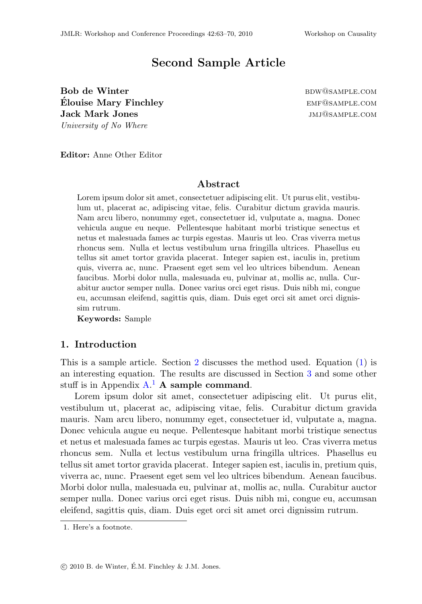# Second Sample Article

<span id="page-17-0"></span>Bob de Winter bdw bdw bdw@sample.com Elouise Mary Finchley  $E$  employees  $E$  employees  $E$  employees  $E$  employees  $E$  employees  $E$  employees  $E$  employees  $E$  employees  $E$  employees  $E$  employees  $E$  employees  $E$  employees  $E$  employees  $E$  employees  $E$  Jack Mark Jones **in the set of the set of the set of the set of the set of the set of the set of the set of the set of the set of the set of the set of the set of the set of the set of the set of the set of the set of the** University of No Where

Editor: Anne Other Editor

#### Abstract

Lorem ipsum dolor sit amet, consectetuer adipiscing elit. Ut purus elit, vestibulum ut, placerat ac, adipiscing vitae, felis. Curabitur dictum gravida mauris. Nam arcu libero, nonummy eget, consectetuer id, vulputate a, magna. Donec vehicula augue eu neque. Pellentesque habitant morbi tristique senectus et netus et malesuada fames ac turpis egestas. Mauris ut leo. Cras viverra metus rhoncus sem. Nulla et lectus vestibulum urna fringilla ultrices. Phasellus eu tellus sit amet tortor gravida placerat. Integer sapien est, iaculis in, pretium quis, viverra ac, nunc. Praesent eget sem vel leo ultrices bibendum. Aenean faucibus. Morbi dolor nulla, malesuada eu, pulvinar at, mollis ac, nulla. Curabitur auctor semper nulla. Donec varius orci eget risus. Duis nibh mi, congue eu, accumsan eleifend, sagittis quis, diam. Duis eget orci sit amet orci dignissim rutrum.

Keywords: Sample

#### 1. Introduction

This is a sample article. Section [2](#page-19-0) discusses the method used. Equation [\(1\)](#page-20-0) is an interesting equation. The results are discussed in Section [3](#page-20-1) and some other stuff is in Appendix  $A<sup>1</sup>$  $A<sup>1</sup>$  $A<sup>1</sup>$  **A** sample command.

Lorem ipsum dolor sit amet, consectetuer adipiscing elit. Ut purus elit, vestibulum ut, placerat ac, adipiscing vitae, felis. Curabitur dictum gravida mauris. Nam arcu libero, nonummy eget, consectetuer id, vulputate a, magna. Donec vehicula augue eu neque. Pellentesque habitant morbi tristique senectus et netus et malesuada fames ac turpis egestas. Mauris ut leo. Cras viverra metus rhoncus sem. Nulla et lectus vestibulum urna fringilla ultrices. Phasellus eu tellus sit amet tortor gravida placerat. Integer sapien est, iaculis in, pretium quis, viverra ac, nunc. Praesent eget sem vel leo ultrices bibendum. Aenean faucibus. Morbi dolor nulla, malesuada eu, pulvinar at, mollis ac, nulla. Curabitur auctor semper nulla. Donec varius orci eget risus. Duis nibh mi, congue eu, accumsan eleifend, sagittis quis, diam. Duis eget orci sit amet orci dignissim rutrum.

<span id="page-17-1"></span><sup>1.</sup> Here's a footnote.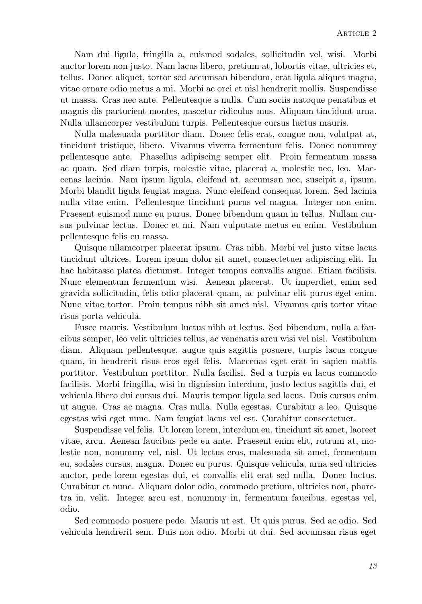Nam dui ligula, fringilla a, euismod sodales, sollicitudin vel, wisi. Morbi auctor lorem non justo. Nam lacus libero, pretium at, lobortis vitae, ultricies et, tellus. Donec aliquet, tortor sed accumsan bibendum, erat ligula aliquet magna, vitae ornare odio metus a mi. Morbi ac orci et nisl hendrerit mollis. Suspendisse ut massa. Cras nec ante. Pellentesque a nulla. Cum sociis natoque penatibus et magnis dis parturient montes, nascetur ridiculus mus. Aliquam tincidunt urna. Nulla ullamcorper vestibulum turpis. Pellentesque cursus luctus mauris.

Nulla malesuada porttitor diam. Donec felis erat, congue non, volutpat at, tincidunt tristique, libero. Vivamus viverra fermentum felis. Donec nonummy pellentesque ante. Phasellus adipiscing semper elit. Proin fermentum massa ac quam. Sed diam turpis, molestie vitae, placerat a, molestie nec, leo. Maecenas lacinia. Nam ipsum ligula, eleifend at, accumsan nec, suscipit a, ipsum. Morbi blandit ligula feugiat magna. Nunc eleifend consequat lorem. Sed lacinia nulla vitae enim. Pellentesque tincidunt purus vel magna. Integer non enim. Praesent euismod nunc eu purus. Donec bibendum quam in tellus. Nullam cursus pulvinar lectus. Donec et mi. Nam vulputate metus eu enim. Vestibulum pellentesque felis eu massa.

Quisque ullamcorper placerat ipsum. Cras nibh. Morbi vel justo vitae lacus tincidunt ultrices. Lorem ipsum dolor sit amet, consectetuer adipiscing elit. In hac habitasse platea dictumst. Integer tempus convallis augue. Etiam facilisis. Nunc elementum fermentum wisi. Aenean placerat. Ut imperdiet, enim sed gravida sollicitudin, felis odio placerat quam, ac pulvinar elit purus eget enim. Nunc vitae tortor. Proin tempus nibh sit amet nisl. Vivamus quis tortor vitae risus porta vehicula.

Fusce mauris. Vestibulum luctus nibh at lectus. Sed bibendum, nulla a faucibus semper, leo velit ultricies tellus, ac venenatis arcu wisi vel nisl. Vestibulum diam. Aliquam pellentesque, augue quis sagittis posuere, turpis lacus congue quam, in hendrerit risus eros eget felis. Maecenas eget erat in sapien mattis porttitor. Vestibulum porttitor. Nulla facilisi. Sed a turpis eu lacus commodo facilisis. Morbi fringilla, wisi in dignissim interdum, justo lectus sagittis dui, et vehicula libero dui cursus dui. Mauris tempor ligula sed lacus. Duis cursus enim ut augue. Cras ac magna. Cras nulla. Nulla egestas. Curabitur a leo. Quisque egestas wisi eget nunc. Nam feugiat lacus vel est. Curabitur consectetuer.

Suspendisse vel felis. Ut lorem lorem, interdum eu, tincidunt sit amet, laoreet vitae, arcu. Aenean faucibus pede eu ante. Praesent enim elit, rutrum at, molestie non, nonummy vel, nisl. Ut lectus eros, malesuada sit amet, fermentum eu, sodales cursus, magna. Donec eu purus. Quisque vehicula, urna sed ultricies auctor, pede lorem egestas dui, et convallis elit erat sed nulla. Donec luctus. Curabitur et nunc. Aliquam dolor odio, commodo pretium, ultricies non, pharetra in, velit. Integer arcu est, nonummy in, fermentum faucibus, egestas vel, odio.

Sed commodo posuere pede. Mauris ut est. Ut quis purus. Sed ac odio. Sed vehicula hendrerit sem. Duis non odio. Morbi ut dui. Sed accumsan risus eget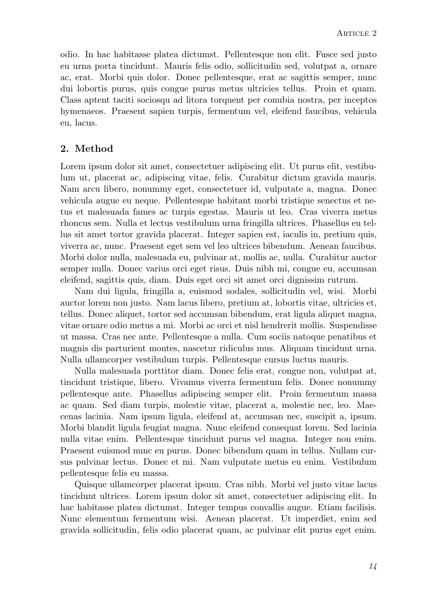odio. In hac habitasse platea dictumst. Pellentesque non elit. Fusce sed justo eu urna porta tincidunt. Mauris felis odio, sollicitudin sed, volutpat a, ornare ac, erat. Morbi quis dolor. Donec pellentesque, erat ac sagittis semper, nunc dui lobortis purus, quis congue purus metus ultricies tellus. Proin et quam. Class aptent taciti sociosqu ad litora torquent per conubia nostra, per inceptos hymenaeos. Praesent sapien turpis, fermentum vel, eleifend faucibus, vehicula eu, lacus.

#### <span id="page-19-0"></span>2. Method

Lorem ipsum dolor sit amet, consectetuer adipiscing elit. Ut purus elit, vestibulum ut, placerat ac, adipiscing vitae, felis. Curabitur dictum gravida mauris. Nam arcu libero, nonummy eget, consectetuer id, vulputate a, magna. Donec vehicula augue eu neque. Pellentesque habitant morbi tristique senectus et netus et malesuada fames ac turpis egestas. Mauris ut leo. Cras viverra metus rhoncus sem. Nulla et lectus vestibulum urna fringilla ultrices. Phasellus eu tellus sit amet tortor gravida placerat. Integer sapien est, iaculis in, pretium quis, viverra ac, nunc. Praesent eget sem vel leo ultrices bibendum. Aenean faucibus. Morbi dolor nulla, malesuada eu, pulvinar at, mollis ac, nulla. Curabitur auctor semper nulla. Donec varius orci eget risus. Duis nibh mi, congue eu, accumsan eleifend, sagittis quis, diam. Duis eget orci sit amet orci dignissim rutrum.

Nam dui ligula, fringilla a, euismod sodales, sollicitudin vel, wisi. Morbi auctor lorem non justo. Nam lacus libero, pretium at, lobortis vitae, ultricies et, tellus. Donec aliquet, tortor sed accumsan bibendum, erat ligula aliquet magna, vitae ornare odio metus a mi. Morbi ac orci et nisl hendrerit mollis. Suspendisse ut massa. Cras nec ante. Pellentesque a nulla. Cum sociis natoque penatibus et magnis dis parturient montes, nascetur ridiculus mus. Aliquam tincidunt urna. Nulla ullamcorper vestibulum turpis. Pellentesque cursus luctus mauris.

Nulla malesuada porttitor diam. Donec felis erat, congue non, volutpat at, tincidunt tristique, libero. Vivamus viverra fermentum felis. Donec nonummy pellentesque ante. Phasellus adipiscing semper elit. Proin fermentum massa ac quam. Sed diam turpis, molestie vitae, placerat a, molestie nec, leo. Maecenas lacinia. Nam ipsum ligula, eleifend at, accumsan nec, suscipit a, ipsum. Morbi blandit ligula feugiat magna. Nunc eleifend consequat lorem. Sed lacinia nulla vitae enim. Pellentesque tincidunt purus vel magna. Integer non enim. Praesent euismod nunc eu purus. Donec bibendum quam in tellus. Nullam cursus pulvinar lectus. Donec et mi. Nam vulputate metus eu enim. Vestibulum pellentesque felis eu massa.

Quisque ullamcorper placerat ipsum. Cras nibh. Morbi vel justo vitae lacus tincidunt ultrices. Lorem ipsum dolor sit amet, consectetuer adipiscing elit. In hac habitasse platea dictumst. Integer tempus convallis augue. Etiam facilisis. Nunc elementum fermentum wisi. Aenean placerat. Ut imperdiet, enim sed gravida sollicitudin, felis odio placerat quam, ac pulvinar elit purus eget enim.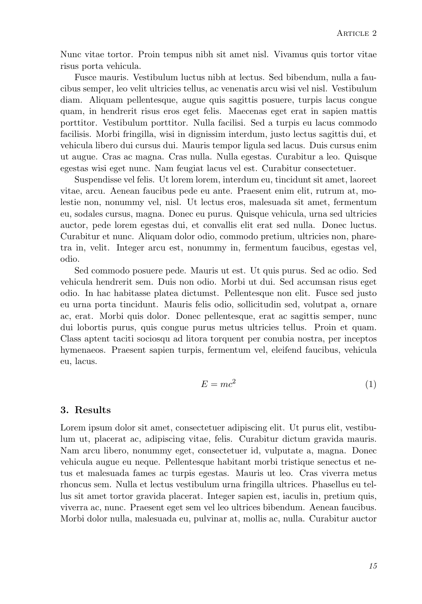Nunc vitae tortor. Proin tempus nibh sit amet nisl. Vivamus quis tortor vitae risus porta vehicula.

Fusce mauris. Vestibulum luctus nibh at lectus. Sed bibendum, nulla a faucibus semper, leo velit ultricies tellus, ac venenatis arcu wisi vel nisl. Vestibulum diam. Aliquam pellentesque, augue quis sagittis posuere, turpis lacus congue quam, in hendrerit risus eros eget felis. Maecenas eget erat in sapien mattis porttitor. Vestibulum porttitor. Nulla facilisi. Sed a turpis eu lacus commodo facilisis. Morbi fringilla, wisi in dignissim interdum, justo lectus sagittis dui, et vehicula libero dui cursus dui. Mauris tempor ligula sed lacus. Duis cursus enim ut augue. Cras ac magna. Cras nulla. Nulla egestas. Curabitur a leo. Quisque egestas wisi eget nunc. Nam feugiat lacus vel est. Curabitur consectetuer.

Suspendisse vel felis. Ut lorem lorem, interdum eu, tincidunt sit amet, laoreet vitae, arcu. Aenean faucibus pede eu ante. Praesent enim elit, rutrum at, molestie non, nonummy vel, nisl. Ut lectus eros, malesuada sit amet, fermentum eu, sodales cursus, magna. Donec eu purus. Quisque vehicula, urna sed ultricies auctor, pede lorem egestas dui, et convallis elit erat sed nulla. Donec luctus. Curabitur et nunc. Aliquam dolor odio, commodo pretium, ultricies non, pharetra in, velit. Integer arcu est, nonummy in, fermentum faucibus, egestas vel, odio.

Sed commodo posuere pede. Mauris ut est. Ut quis purus. Sed ac odio. Sed vehicula hendrerit sem. Duis non odio. Morbi ut dui. Sed accumsan risus eget odio. In hac habitasse platea dictumst. Pellentesque non elit. Fusce sed justo eu urna porta tincidunt. Mauris felis odio, sollicitudin sed, volutpat a, ornare ac, erat. Morbi quis dolor. Donec pellentesque, erat ac sagittis semper, nunc dui lobortis purus, quis congue purus metus ultricies tellus. Proin et quam. Class aptent taciti sociosqu ad litora torquent per conubia nostra, per inceptos hymenaeos. Praesent sapien turpis, fermentum vel, eleifend faucibus, vehicula eu, lacus.

<span id="page-20-0"></span>
$$
E = mc^2 \tag{1}
$$

#### <span id="page-20-1"></span>3. Results

Lorem ipsum dolor sit amet, consectetuer adipiscing elit. Ut purus elit, vestibulum ut, placerat ac, adipiscing vitae, felis. Curabitur dictum gravida mauris. Nam arcu libero, nonummy eget, consectetuer id, vulputate a, magna. Donec vehicula augue eu neque. Pellentesque habitant morbi tristique senectus et netus et malesuada fames ac turpis egestas. Mauris ut leo. Cras viverra metus rhoncus sem. Nulla et lectus vestibulum urna fringilla ultrices. Phasellus eu tellus sit amet tortor gravida placerat. Integer sapien est, iaculis in, pretium quis, viverra ac, nunc. Praesent eget sem vel leo ultrices bibendum. Aenean faucibus. Morbi dolor nulla, malesuada eu, pulvinar at, mollis ac, nulla. Curabitur auctor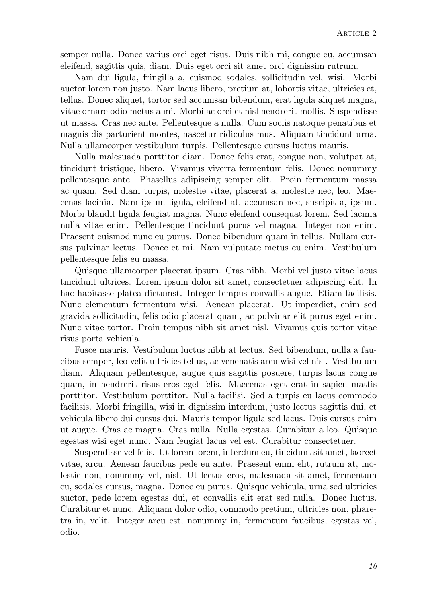semper nulla. Donec varius orci eget risus. Duis nibh mi, congue eu, accumsan eleifend, sagittis quis, diam. Duis eget orci sit amet orci dignissim rutrum.

Nam dui ligula, fringilla a, euismod sodales, sollicitudin vel, wisi. Morbi auctor lorem non justo. Nam lacus libero, pretium at, lobortis vitae, ultricies et, tellus. Donec aliquet, tortor sed accumsan bibendum, erat ligula aliquet magna, vitae ornare odio metus a mi. Morbi ac orci et nisl hendrerit mollis. Suspendisse ut massa. Cras nec ante. Pellentesque a nulla. Cum sociis natoque penatibus et magnis dis parturient montes, nascetur ridiculus mus. Aliquam tincidunt urna. Nulla ullamcorper vestibulum turpis. Pellentesque cursus luctus mauris.

Nulla malesuada porttitor diam. Donec felis erat, congue non, volutpat at, tincidunt tristique, libero. Vivamus viverra fermentum felis. Donec nonummy pellentesque ante. Phasellus adipiscing semper elit. Proin fermentum massa ac quam. Sed diam turpis, molestie vitae, placerat a, molestie nec, leo. Maecenas lacinia. Nam ipsum ligula, eleifend at, accumsan nec, suscipit a, ipsum. Morbi blandit ligula feugiat magna. Nunc eleifend consequat lorem. Sed lacinia nulla vitae enim. Pellentesque tincidunt purus vel magna. Integer non enim. Praesent euismod nunc eu purus. Donec bibendum quam in tellus. Nullam cursus pulvinar lectus. Donec et mi. Nam vulputate metus eu enim. Vestibulum pellentesque felis eu massa.

Quisque ullamcorper placerat ipsum. Cras nibh. Morbi vel justo vitae lacus tincidunt ultrices. Lorem ipsum dolor sit amet, consectetuer adipiscing elit. In hac habitasse platea dictumst. Integer tempus convallis augue. Etiam facilisis. Nunc elementum fermentum wisi. Aenean placerat. Ut imperdiet, enim sed gravida sollicitudin, felis odio placerat quam, ac pulvinar elit purus eget enim. Nunc vitae tortor. Proin tempus nibh sit amet nisl. Vivamus quis tortor vitae risus porta vehicula.

Fusce mauris. Vestibulum luctus nibh at lectus. Sed bibendum, nulla a faucibus semper, leo velit ultricies tellus, ac venenatis arcu wisi vel nisl. Vestibulum diam. Aliquam pellentesque, augue quis sagittis posuere, turpis lacus congue quam, in hendrerit risus eros eget felis. Maecenas eget erat in sapien mattis porttitor. Vestibulum porttitor. Nulla facilisi. Sed a turpis eu lacus commodo facilisis. Morbi fringilla, wisi in dignissim interdum, justo lectus sagittis dui, et vehicula libero dui cursus dui. Mauris tempor ligula sed lacus. Duis cursus enim ut augue. Cras ac magna. Cras nulla. Nulla egestas. Curabitur a leo. Quisque egestas wisi eget nunc. Nam feugiat lacus vel est. Curabitur consectetuer.

Suspendisse vel felis. Ut lorem lorem, interdum eu, tincidunt sit amet, laoreet vitae, arcu. Aenean faucibus pede eu ante. Praesent enim elit, rutrum at, molestie non, nonummy vel, nisl. Ut lectus eros, malesuada sit amet, fermentum eu, sodales cursus, magna. Donec eu purus. Quisque vehicula, urna sed ultricies auctor, pede lorem egestas dui, et convallis elit erat sed nulla. Donec luctus. Curabitur et nunc. Aliquam dolor odio, commodo pretium, ultricies non, pharetra in, velit. Integer arcu est, nonummy in, fermentum faucibus, egestas vel, odio.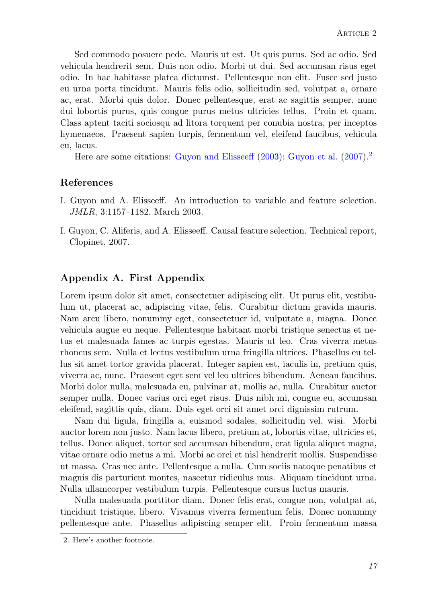Sed commodo posuere pede. Mauris ut est. Ut quis purus. Sed ac odio. Sed vehicula hendrerit sem. Duis non odio. Morbi ut dui. Sed accumsan risus eget odio. In hac habitasse platea dictumst. Pellentesque non elit. Fusce sed justo eu urna porta tincidunt. Mauris felis odio, sollicitudin sed, volutpat a, ornare ac, erat. Morbi quis dolor. Donec pellentesque, erat ac sagittis semper, nunc dui lobortis purus, quis congue purus metus ultricies tellus. Proin et quam. Class aptent taciti sociosqu ad litora torquent per conubia nostra, per inceptos hymenaeos. Praesent sapien turpis, fermentum vel, eleifend faucibus, vehicula eu, lacus.

Here are some citations: [Guyon and Elisseeff](#page-22-1) [\(2003\)](#page-22-1); [Guyon et al.](#page-22-2) [\(2007\)](#page-22-2).<sup>[2](#page-22-3)</sup>

#### References

- <span id="page-22-1"></span>I. Guyon and A. Elisseeff. An introduction to variable and feature selection. JMLR, 3:1157–1182, March 2003.
- <span id="page-22-2"></span>I. Guyon, C. Aliferis, and A. Elisseeff. Causal feature selection. Technical report, Clopinet, 2007.

#### <span id="page-22-0"></span>Appendix A. First Appendix

Lorem ipsum dolor sit amet, consectetuer adipiscing elit. Ut purus elit, vestibulum ut, placerat ac, adipiscing vitae, felis. Curabitur dictum gravida mauris. Nam arcu libero, nonummy eget, consectetuer id, vulputate a, magna. Donec vehicula augue eu neque. Pellentesque habitant morbi tristique senectus et netus et malesuada fames ac turpis egestas. Mauris ut leo. Cras viverra metus rhoncus sem. Nulla et lectus vestibulum urna fringilla ultrices. Phasellus eu tellus sit amet tortor gravida placerat. Integer sapien est, iaculis in, pretium quis, viverra ac, nunc. Praesent eget sem vel leo ultrices bibendum. Aenean faucibus. Morbi dolor nulla, malesuada eu, pulvinar at, mollis ac, nulla. Curabitur auctor semper nulla. Donec varius orci eget risus. Duis nibh mi, congue eu, accumsan eleifend, sagittis quis, diam. Duis eget orci sit amet orci dignissim rutrum.

Nam dui ligula, fringilla a, euismod sodales, sollicitudin vel, wisi. Morbi auctor lorem non justo. Nam lacus libero, pretium at, lobortis vitae, ultricies et, tellus. Donec aliquet, tortor sed accumsan bibendum, erat ligula aliquet magna, vitae ornare odio metus a mi. Morbi ac orci et nisl hendrerit mollis. Suspendisse ut massa. Cras nec ante. Pellentesque a nulla. Cum sociis natoque penatibus et magnis dis parturient montes, nascetur ridiculus mus. Aliquam tincidunt urna. Nulla ullamcorper vestibulum turpis. Pellentesque cursus luctus mauris.

Nulla malesuada porttitor diam. Donec felis erat, congue non, volutpat at, tincidunt tristique, libero. Vivamus viverra fermentum felis. Donec nonummy pellentesque ante. Phasellus adipiscing semper elit. Proin fermentum massa

<span id="page-22-3"></span><sup>2.</sup> Here's another footnote.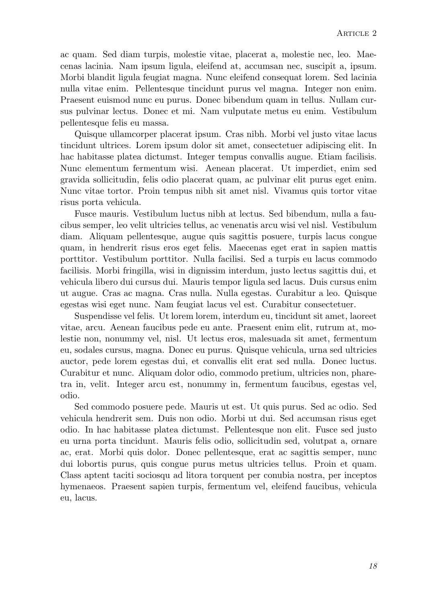ac quam. Sed diam turpis, molestie vitae, placerat a, molestie nec, leo. Maecenas lacinia. Nam ipsum ligula, eleifend at, accumsan nec, suscipit a, ipsum. Morbi blandit ligula feugiat magna. Nunc eleifend consequat lorem. Sed lacinia nulla vitae enim. Pellentesque tincidunt purus vel magna. Integer non enim. Praesent euismod nunc eu purus. Donec bibendum quam in tellus. Nullam cursus pulvinar lectus. Donec et mi. Nam vulputate metus eu enim. Vestibulum pellentesque felis eu massa.

Quisque ullamcorper placerat ipsum. Cras nibh. Morbi vel justo vitae lacus tincidunt ultrices. Lorem ipsum dolor sit amet, consectetuer adipiscing elit. In hac habitasse platea dictumst. Integer tempus convallis augue. Etiam facilisis. Nunc elementum fermentum wisi. Aenean placerat. Ut imperdiet, enim sed gravida sollicitudin, felis odio placerat quam, ac pulvinar elit purus eget enim. Nunc vitae tortor. Proin tempus nibh sit amet nisl. Vivamus quis tortor vitae risus porta vehicula.

Fusce mauris. Vestibulum luctus nibh at lectus. Sed bibendum, nulla a faucibus semper, leo velit ultricies tellus, ac venenatis arcu wisi vel nisl. Vestibulum diam. Aliquam pellentesque, augue quis sagittis posuere, turpis lacus congue quam, in hendrerit risus eros eget felis. Maecenas eget erat in sapien mattis porttitor. Vestibulum porttitor. Nulla facilisi. Sed a turpis eu lacus commodo facilisis. Morbi fringilla, wisi in dignissim interdum, justo lectus sagittis dui, et vehicula libero dui cursus dui. Mauris tempor ligula sed lacus. Duis cursus enim ut augue. Cras ac magna. Cras nulla. Nulla egestas. Curabitur a leo. Quisque egestas wisi eget nunc. Nam feugiat lacus vel est. Curabitur consectetuer.

Suspendisse vel felis. Ut lorem lorem, interdum eu, tincidunt sit amet, laoreet vitae, arcu. Aenean faucibus pede eu ante. Praesent enim elit, rutrum at, molestie non, nonummy vel, nisl. Ut lectus eros, malesuada sit amet, fermentum eu, sodales cursus, magna. Donec eu purus. Quisque vehicula, urna sed ultricies auctor, pede lorem egestas dui, et convallis elit erat sed nulla. Donec luctus. Curabitur et nunc. Aliquam dolor odio, commodo pretium, ultricies non, pharetra in, velit. Integer arcu est, nonummy in, fermentum faucibus, egestas vel, odio.

Sed commodo posuere pede. Mauris ut est. Ut quis purus. Sed ac odio. Sed vehicula hendrerit sem. Duis non odio. Morbi ut dui. Sed accumsan risus eget odio. In hac habitasse platea dictumst. Pellentesque non elit. Fusce sed justo eu urna porta tincidunt. Mauris felis odio, sollicitudin sed, volutpat a, ornare ac, erat. Morbi quis dolor. Donec pellentesque, erat ac sagittis semper, nunc dui lobortis purus, quis congue purus metus ultricies tellus. Proin et quam. Class aptent taciti sociosqu ad litora torquent per conubia nostra, per inceptos hymenaeos. Praesent sapien turpis, fermentum vel, eleifend faucibus, vehicula eu, lacus.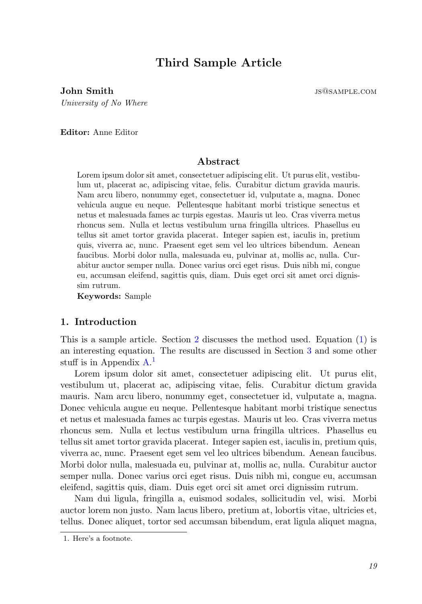## Third Sample Article

#### <span id="page-24-0"></span>John Smith is a set of the set of the set of the set of the set of the set of the set of the set of the set of the set of the set of the set of the set of the set of the set of the set of the set of the set of the set of t

University of No Where

#### Editor: Anne Editor

#### Abstract

Lorem ipsum dolor sit amet, consectetuer adipiscing elit. Ut purus elit, vestibulum ut, placerat ac, adipiscing vitae, felis. Curabitur dictum gravida mauris. Nam arcu libero, nonummy eget, consectetuer id, vulputate a, magna. Donec vehicula augue eu neque. Pellentesque habitant morbi tristique senectus et netus et malesuada fames ac turpis egestas. Mauris ut leo. Cras viverra metus rhoncus sem. Nulla et lectus vestibulum urna fringilla ultrices. Phasellus eu tellus sit amet tortor gravida placerat. Integer sapien est, iaculis in, pretium quis, viverra ac, nunc. Praesent eget sem vel leo ultrices bibendum. Aenean faucibus. Morbi dolor nulla, malesuada eu, pulvinar at, mollis ac, nulla. Curabitur auctor semper nulla. Donec varius orci eget risus. Duis nibh mi, congue eu, accumsan eleifend, sagittis quis, diam. Duis eget orci sit amet orci dignissim rutrum.

Keywords: Sample

#### 1. Introduction

This is a sample article. Section [2](#page-26-0) discusses the method used. Equation [\(1\)](#page-27-0) is an interesting equation. The results are discussed in Section [3](#page-27-1) and some other stuff is in Appendix [A.](#page-29-0)<sup>[1](#page-24-1)</sup>

Lorem ipsum dolor sit amet, consectetuer adipiscing elit. Ut purus elit, vestibulum ut, placerat ac, adipiscing vitae, felis. Curabitur dictum gravida mauris. Nam arcu libero, nonummy eget, consectetuer id, vulputate a, magna. Donec vehicula augue eu neque. Pellentesque habitant morbi tristique senectus et netus et malesuada fames ac turpis egestas. Mauris ut leo. Cras viverra metus rhoncus sem. Nulla et lectus vestibulum urna fringilla ultrices. Phasellus eu tellus sit amet tortor gravida placerat. Integer sapien est, iaculis in, pretium quis, viverra ac, nunc. Praesent eget sem vel leo ultrices bibendum. Aenean faucibus. Morbi dolor nulla, malesuada eu, pulvinar at, mollis ac, nulla. Curabitur auctor semper nulla. Donec varius orci eget risus. Duis nibh mi, congue eu, accumsan eleifend, sagittis quis, diam. Duis eget orci sit amet orci dignissim rutrum.

Nam dui ligula, fringilla a, euismod sodales, sollicitudin vel, wisi. Morbi auctor lorem non justo. Nam lacus libero, pretium at, lobortis vitae, ultricies et, tellus. Donec aliquet, tortor sed accumsan bibendum, erat ligula aliquet magna,

<span id="page-24-1"></span><sup>1.</sup> Here's a footnote.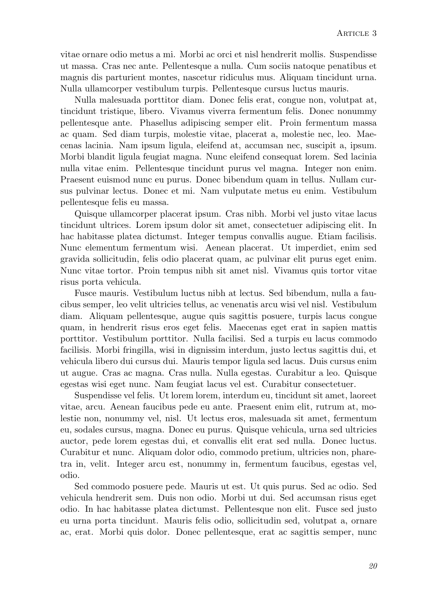vitae ornare odio metus a mi. Morbi ac orci et nisl hendrerit mollis. Suspendisse ut massa. Cras nec ante. Pellentesque a nulla. Cum sociis natoque penatibus et magnis dis parturient montes, nascetur ridiculus mus. Aliquam tincidunt urna. Nulla ullamcorper vestibulum turpis. Pellentesque cursus luctus mauris.

Nulla malesuada porttitor diam. Donec felis erat, congue non, volutpat at, tincidunt tristique, libero. Vivamus viverra fermentum felis. Donec nonummy pellentesque ante. Phasellus adipiscing semper elit. Proin fermentum massa ac quam. Sed diam turpis, molestie vitae, placerat a, molestie nec, leo. Maecenas lacinia. Nam ipsum ligula, eleifend at, accumsan nec, suscipit a, ipsum. Morbi blandit ligula feugiat magna. Nunc eleifend consequat lorem. Sed lacinia nulla vitae enim. Pellentesque tincidunt purus vel magna. Integer non enim. Praesent euismod nunc eu purus. Donec bibendum quam in tellus. Nullam cursus pulvinar lectus. Donec et mi. Nam vulputate metus eu enim. Vestibulum pellentesque felis eu massa.

Quisque ullamcorper placerat ipsum. Cras nibh. Morbi vel justo vitae lacus tincidunt ultrices. Lorem ipsum dolor sit amet, consectetuer adipiscing elit. In hac habitasse platea dictumst. Integer tempus convallis augue. Etiam facilisis. Nunc elementum fermentum wisi. Aenean placerat. Ut imperdiet, enim sed gravida sollicitudin, felis odio placerat quam, ac pulvinar elit purus eget enim. Nunc vitae tortor. Proin tempus nibh sit amet nisl. Vivamus quis tortor vitae risus porta vehicula.

Fusce mauris. Vestibulum luctus nibh at lectus. Sed bibendum, nulla a faucibus semper, leo velit ultricies tellus, ac venenatis arcu wisi vel nisl. Vestibulum diam. Aliquam pellentesque, augue quis sagittis posuere, turpis lacus congue quam, in hendrerit risus eros eget felis. Maecenas eget erat in sapien mattis porttitor. Vestibulum porttitor. Nulla facilisi. Sed a turpis eu lacus commodo facilisis. Morbi fringilla, wisi in dignissim interdum, justo lectus sagittis dui, et vehicula libero dui cursus dui. Mauris tempor ligula sed lacus. Duis cursus enim ut augue. Cras ac magna. Cras nulla. Nulla egestas. Curabitur a leo. Quisque egestas wisi eget nunc. Nam feugiat lacus vel est. Curabitur consectetuer.

Suspendisse vel felis. Ut lorem lorem, interdum eu, tincidunt sit amet, laoreet vitae, arcu. Aenean faucibus pede eu ante. Praesent enim elit, rutrum at, molestie non, nonummy vel, nisl. Ut lectus eros, malesuada sit amet, fermentum eu, sodales cursus, magna. Donec eu purus. Quisque vehicula, urna sed ultricies auctor, pede lorem egestas dui, et convallis elit erat sed nulla. Donec luctus. Curabitur et nunc. Aliquam dolor odio, commodo pretium, ultricies non, pharetra in, velit. Integer arcu est, nonummy in, fermentum faucibus, egestas vel, odio.

Sed commodo posuere pede. Mauris ut est. Ut quis purus. Sed ac odio. Sed vehicula hendrerit sem. Duis non odio. Morbi ut dui. Sed accumsan risus eget odio. In hac habitasse platea dictumst. Pellentesque non elit. Fusce sed justo eu urna porta tincidunt. Mauris felis odio, sollicitudin sed, volutpat a, ornare ac, erat. Morbi quis dolor. Donec pellentesque, erat ac sagittis semper, nunc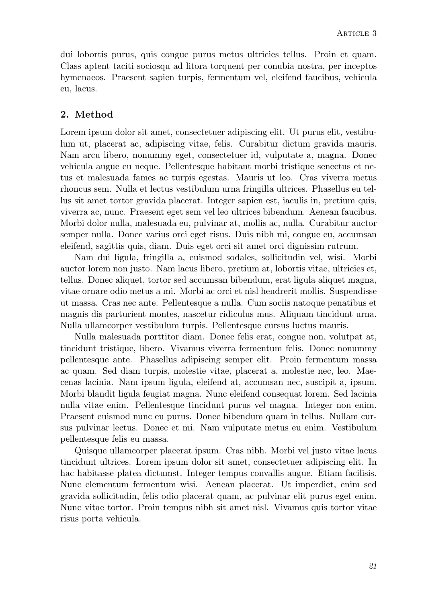dui lobortis purus, quis congue purus metus ultricies tellus. Proin et quam. Class aptent taciti sociosqu ad litora torquent per conubia nostra, per inceptos hymenaeos. Praesent sapien turpis, fermentum vel, eleifend faucibus, vehicula eu, lacus.

#### <span id="page-26-0"></span>2. Method

Lorem ipsum dolor sit amet, consectetuer adipiscing elit. Ut purus elit, vestibulum ut, placerat ac, adipiscing vitae, felis. Curabitur dictum gravida mauris. Nam arcu libero, nonummy eget, consectetuer id, vulputate a, magna. Donec vehicula augue eu neque. Pellentesque habitant morbi tristique senectus et netus et malesuada fames ac turpis egestas. Mauris ut leo. Cras viverra metus rhoncus sem. Nulla et lectus vestibulum urna fringilla ultrices. Phasellus eu tellus sit amet tortor gravida placerat. Integer sapien est, iaculis in, pretium quis, viverra ac, nunc. Praesent eget sem vel leo ultrices bibendum. Aenean faucibus. Morbi dolor nulla, malesuada eu, pulvinar at, mollis ac, nulla. Curabitur auctor semper nulla. Donec varius orci eget risus. Duis nibh mi, congue eu, accumsan eleifend, sagittis quis, diam. Duis eget orci sit amet orci dignissim rutrum.

Nam dui ligula, fringilla a, euismod sodales, sollicitudin vel, wisi. Morbi auctor lorem non justo. Nam lacus libero, pretium at, lobortis vitae, ultricies et, tellus. Donec aliquet, tortor sed accumsan bibendum, erat ligula aliquet magna, vitae ornare odio metus a mi. Morbi ac orci et nisl hendrerit mollis. Suspendisse ut massa. Cras nec ante. Pellentesque a nulla. Cum sociis natoque penatibus et magnis dis parturient montes, nascetur ridiculus mus. Aliquam tincidunt urna. Nulla ullamcorper vestibulum turpis. Pellentesque cursus luctus mauris.

Nulla malesuada porttitor diam. Donec felis erat, congue non, volutpat at, tincidunt tristique, libero. Vivamus viverra fermentum felis. Donec nonummy pellentesque ante. Phasellus adipiscing semper elit. Proin fermentum massa ac quam. Sed diam turpis, molestie vitae, placerat a, molestie nec, leo. Maecenas lacinia. Nam ipsum ligula, eleifend at, accumsan nec, suscipit a, ipsum. Morbi blandit ligula feugiat magna. Nunc eleifend consequat lorem. Sed lacinia nulla vitae enim. Pellentesque tincidunt purus vel magna. Integer non enim. Praesent euismod nunc eu purus. Donec bibendum quam in tellus. Nullam cursus pulvinar lectus. Donec et mi. Nam vulputate metus eu enim. Vestibulum pellentesque felis eu massa.

Quisque ullamcorper placerat ipsum. Cras nibh. Morbi vel justo vitae lacus tincidunt ultrices. Lorem ipsum dolor sit amet, consectetuer adipiscing elit. In hac habitasse platea dictumst. Integer tempus convallis augue. Etiam facilisis. Nunc elementum fermentum wisi. Aenean placerat. Ut imperdiet, enim sed gravida sollicitudin, felis odio placerat quam, ac pulvinar elit purus eget enim. Nunc vitae tortor. Proin tempus nibh sit amet nisl. Vivamus quis tortor vitae risus porta vehicula.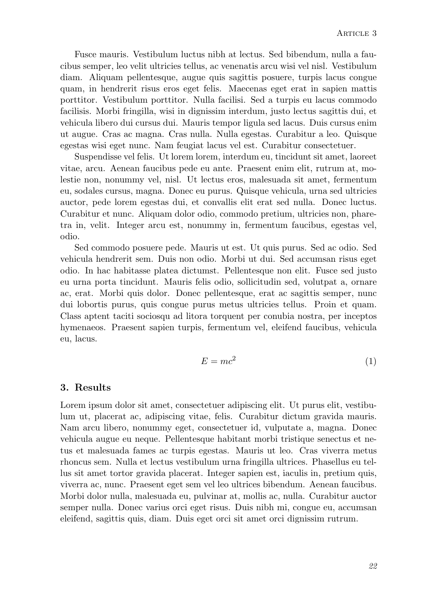Fusce mauris. Vestibulum luctus nibh at lectus. Sed bibendum, nulla a faucibus semper, leo velit ultricies tellus, ac venenatis arcu wisi vel nisl. Vestibulum diam. Aliquam pellentesque, augue quis sagittis posuere, turpis lacus congue quam, in hendrerit risus eros eget felis. Maecenas eget erat in sapien mattis porttitor. Vestibulum porttitor. Nulla facilisi. Sed a turpis eu lacus commodo facilisis. Morbi fringilla, wisi in dignissim interdum, justo lectus sagittis dui, et vehicula libero dui cursus dui. Mauris tempor ligula sed lacus. Duis cursus enim ut augue. Cras ac magna. Cras nulla. Nulla egestas. Curabitur a leo. Quisque egestas wisi eget nunc. Nam feugiat lacus vel est. Curabitur consectetuer.

Suspendisse vel felis. Ut lorem lorem, interdum eu, tincidunt sit amet, laoreet vitae, arcu. Aenean faucibus pede eu ante. Praesent enim elit, rutrum at, molestie non, nonummy vel, nisl. Ut lectus eros, malesuada sit amet, fermentum eu, sodales cursus, magna. Donec eu purus. Quisque vehicula, urna sed ultricies auctor, pede lorem egestas dui, et convallis elit erat sed nulla. Donec luctus. Curabitur et nunc. Aliquam dolor odio, commodo pretium, ultricies non, pharetra in, velit. Integer arcu est, nonummy in, fermentum faucibus, egestas vel, odio.

Sed commodo posuere pede. Mauris ut est. Ut quis purus. Sed ac odio. Sed vehicula hendrerit sem. Duis non odio. Morbi ut dui. Sed accumsan risus eget odio. In hac habitasse platea dictumst. Pellentesque non elit. Fusce sed justo eu urna porta tincidunt. Mauris felis odio, sollicitudin sed, volutpat a, ornare ac, erat. Morbi quis dolor. Donec pellentesque, erat ac sagittis semper, nunc dui lobortis purus, quis congue purus metus ultricies tellus. Proin et quam. Class aptent taciti sociosqu ad litora torquent per conubia nostra, per inceptos hymenaeos. Praesent sapien turpis, fermentum vel, eleifend faucibus, vehicula eu, lacus.

<span id="page-27-0"></span>
$$
E = mc^2 \tag{1}
$$

#### <span id="page-27-1"></span>3. Results

Lorem ipsum dolor sit amet, consectetuer adipiscing elit. Ut purus elit, vestibulum ut, placerat ac, adipiscing vitae, felis. Curabitur dictum gravida mauris. Nam arcu libero, nonummy eget, consectetuer id, vulputate a, magna. Donec vehicula augue eu neque. Pellentesque habitant morbi tristique senectus et netus et malesuada fames ac turpis egestas. Mauris ut leo. Cras viverra metus rhoncus sem. Nulla et lectus vestibulum urna fringilla ultrices. Phasellus eu tellus sit amet tortor gravida placerat. Integer sapien est, iaculis in, pretium quis, viverra ac, nunc. Praesent eget sem vel leo ultrices bibendum. Aenean faucibus. Morbi dolor nulla, malesuada eu, pulvinar at, mollis ac, nulla. Curabitur auctor semper nulla. Donec varius orci eget risus. Duis nibh mi, congue eu, accumsan eleifend, sagittis quis, diam. Duis eget orci sit amet orci dignissim rutrum.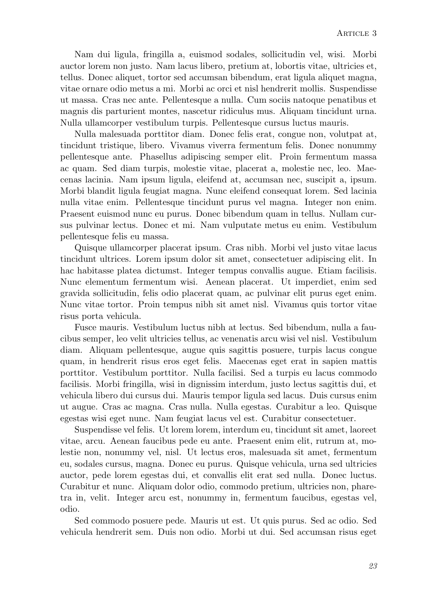Nam dui ligula, fringilla a, euismod sodales, sollicitudin vel, wisi. Morbi auctor lorem non justo. Nam lacus libero, pretium at, lobortis vitae, ultricies et, tellus. Donec aliquet, tortor sed accumsan bibendum, erat ligula aliquet magna, vitae ornare odio metus a mi. Morbi ac orci et nisl hendrerit mollis. Suspendisse ut massa. Cras nec ante. Pellentesque a nulla. Cum sociis natoque penatibus et magnis dis parturient montes, nascetur ridiculus mus. Aliquam tincidunt urna. Nulla ullamcorper vestibulum turpis. Pellentesque cursus luctus mauris.

Nulla malesuada porttitor diam. Donec felis erat, congue non, volutpat at, tincidunt tristique, libero. Vivamus viverra fermentum felis. Donec nonummy pellentesque ante. Phasellus adipiscing semper elit. Proin fermentum massa ac quam. Sed diam turpis, molestie vitae, placerat a, molestie nec, leo. Maecenas lacinia. Nam ipsum ligula, eleifend at, accumsan nec, suscipit a, ipsum. Morbi blandit ligula feugiat magna. Nunc eleifend consequat lorem. Sed lacinia nulla vitae enim. Pellentesque tincidunt purus vel magna. Integer non enim. Praesent euismod nunc eu purus. Donec bibendum quam in tellus. Nullam cursus pulvinar lectus. Donec et mi. Nam vulputate metus eu enim. Vestibulum pellentesque felis eu massa.

Quisque ullamcorper placerat ipsum. Cras nibh. Morbi vel justo vitae lacus tincidunt ultrices. Lorem ipsum dolor sit amet, consectetuer adipiscing elit. In hac habitasse platea dictumst. Integer tempus convallis augue. Etiam facilisis. Nunc elementum fermentum wisi. Aenean placerat. Ut imperdiet, enim sed gravida sollicitudin, felis odio placerat quam, ac pulvinar elit purus eget enim. Nunc vitae tortor. Proin tempus nibh sit amet nisl. Vivamus quis tortor vitae risus porta vehicula.

Fusce mauris. Vestibulum luctus nibh at lectus. Sed bibendum, nulla a faucibus semper, leo velit ultricies tellus, ac venenatis arcu wisi vel nisl. Vestibulum diam. Aliquam pellentesque, augue quis sagittis posuere, turpis lacus congue quam, in hendrerit risus eros eget felis. Maecenas eget erat in sapien mattis porttitor. Vestibulum porttitor. Nulla facilisi. Sed a turpis eu lacus commodo facilisis. Morbi fringilla, wisi in dignissim interdum, justo lectus sagittis dui, et vehicula libero dui cursus dui. Mauris tempor ligula sed lacus. Duis cursus enim ut augue. Cras ac magna. Cras nulla. Nulla egestas. Curabitur a leo. Quisque egestas wisi eget nunc. Nam feugiat lacus vel est. Curabitur consectetuer.

Suspendisse vel felis. Ut lorem lorem, interdum eu, tincidunt sit amet, laoreet vitae, arcu. Aenean faucibus pede eu ante. Praesent enim elit, rutrum at, molestie non, nonummy vel, nisl. Ut lectus eros, malesuada sit amet, fermentum eu, sodales cursus, magna. Donec eu purus. Quisque vehicula, urna sed ultricies auctor, pede lorem egestas dui, et convallis elit erat sed nulla. Donec luctus. Curabitur et nunc. Aliquam dolor odio, commodo pretium, ultricies non, pharetra in, velit. Integer arcu est, nonummy in, fermentum faucibus, egestas vel, odio.

Sed commodo posuere pede. Mauris ut est. Ut quis purus. Sed ac odio. Sed vehicula hendrerit sem. Duis non odio. Morbi ut dui. Sed accumsan risus eget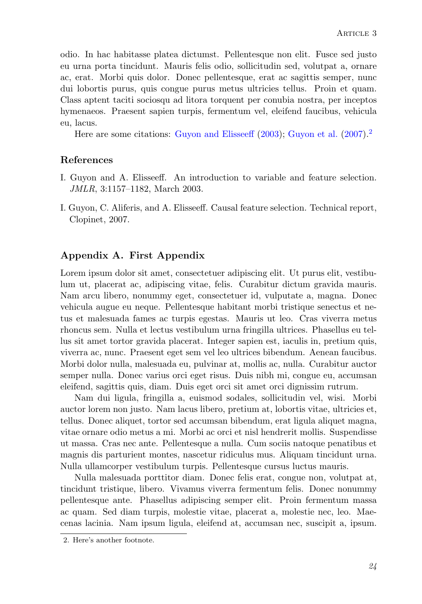odio. In hac habitasse platea dictumst. Pellentesque non elit. Fusce sed justo eu urna porta tincidunt. Mauris felis odio, sollicitudin sed, volutpat a, ornare ac, erat. Morbi quis dolor. Donec pellentesque, erat ac sagittis semper, nunc dui lobortis purus, quis congue purus metus ultricies tellus. Proin et quam. Class aptent taciti sociosqu ad litora torquent per conubia nostra, per inceptos hymenaeos. Praesent sapien turpis, fermentum vel, eleifend faucibus, vehicula eu, lacus.

Here are some citations: [Guyon and Elisseeff](#page-29-1) [\(2003\)](#page-29-1); [Guyon et al.](#page-29-2) [\(2007\)](#page-29-2).<sup>[2](#page-29-3)</sup>

#### References

- <span id="page-29-1"></span>I. Guyon and A. Elisseeff. An introduction to variable and feature selection. JMLR, 3:1157–1182, March 2003.
- <span id="page-29-2"></span>I. Guyon, C. Aliferis, and A. Elisseeff. Causal feature selection. Technical report, Clopinet, 2007.

#### <span id="page-29-0"></span>Appendix A. First Appendix

Lorem ipsum dolor sit amet, consectetuer adipiscing elit. Ut purus elit, vestibulum ut, placerat ac, adipiscing vitae, felis. Curabitur dictum gravida mauris. Nam arcu libero, nonummy eget, consectetuer id, vulputate a, magna. Donec vehicula augue eu neque. Pellentesque habitant morbi tristique senectus et netus et malesuada fames ac turpis egestas. Mauris ut leo. Cras viverra metus rhoncus sem. Nulla et lectus vestibulum urna fringilla ultrices. Phasellus eu tellus sit amet tortor gravida placerat. Integer sapien est, iaculis in, pretium quis, viverra ac, nunc. Praesent eget sem vel leo ultrices bibendum. Aenean faucibus. Morbi dolor nulla, malesuada eu, pulvinar at, mollis ac, nulla. Curabitur auctor semper nulla. Donec varius orci eget risus. Duis nibh mi, congue eu, accumsan eleifend, sagittis quis, diam. Duis eget orci sit amet orci dignissim rutrum.

Nam dui ligula, fringilla a, euismod sodales, sollicitudin vel, wisi. Morbi auctor lorem non justo. Nam lacus libero, pretium at, lobortis vitae, ultricies et, tellus. Donec aliquet, tortor sed accumsan bibendum, erat ligula aliquet magna, vitae ornare odio metus a mi. Morbi ac orci et nisl hendrerit mollis. Suspendisse ut massa. Cras nec ante. Pellentesque a nulla. Cum sociis natoque penatibus et magnis dis parturient montes, nascetur ridiculus mus. Aliquam tincidunt urna. Nulla ullamcorper vestibulum turpis. Pellentesque cursus luctus mauris.

Nulla malesuada porttitor diam. Donec felis erat, congue non, volutpat at, tincidunt tristique, libero. Vivamus viverra fermentum felis. Donec nonummy pellentesque ante. Phasellus adipiscing semper elit. Proin fermentum massa ac quam. Sed diam turpis, molestie vitae, placerat a, molestie nec, leo. Maecenas lacinia. Nam ipsum ligula, eleifend at, accumsan nec, suscipit a, ipsum.

<span id="page-29-3"></span><sup>2.</sup> Here's another footnote.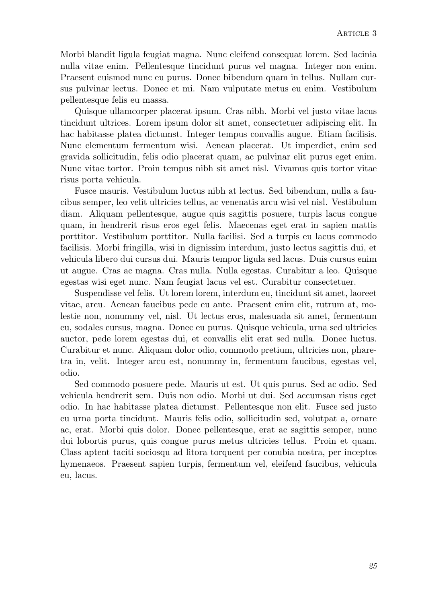Morbi blandit ligula feugiat magna. Nunc eleifend consequat lorem. Sed lacinia nulla vitae enim. Pellentesque tincidunt purus vel magna. Integer non enim. Praesent euismod nunc eu purus. Donec bibendum quam in tellus. Nullam cursus pulvinar lectus. Donec et mi. Nam vulputate metus eu enim. Vestibulum pellentesque felis eu massa.

Quisque ullamcorper placerat ipsum. Cras nibh. Morbi vel justo vitae lacus tincidunt ultrices. Lorem ipsum dolor sit amet, consectetuer adipiscing elit. In hac habitasse platea dictumst. Integer tempus convallis augue. Etiam facilisis. Nunc elementum fermentum wisi. Aenean placerat. Ut imperdiet, enim sed gravida sollicitudin, felis odio placerat quam, ac pulvinar elit purus eget enim. Nunc vitae tortor. Proin tempus nibh sit amet nisl. Vivamus quis tortor vitae risus porta vehicula.

Fusce mauris. Vestibulum luctus nibh at lectus. Sed bibendum, nulla a faucibus semper, leo velit ultricies tellus, ac venenatis arcu wisi vel nisl. Vestibulum diam. Aliquam pellentesque, augue quis sagittis posuere, turpis lacus congue quam, in hendrerit risus eros eget felis. Maecenas eget erat in sapien mattis porttitor. Vestibulum porttitor. Nulla facilisi. Sed a turpis eu lacus commodo facilisis. Morbi fringilla, wisi in dignissim interdum, justo lectus sagittis dui, et vehicula libero dui cursus dui. Mauris tempor ligula sed lacus. Duis cursus enim ut augue. Cras ac magna. Cras nulla. Nulla egestas. Curabitur a leo. Quisque egestas wisi eget nunc. Nam feugiat lacus vel est. Curabitur consectetuer.

Suspendisse vel felis. Ut lorem lorem, interdum eu, tincidunt sit amet, laoreet vitae, arcu. Aenean faucibus pede eu ante. Praesent enim elit, rutrum at, molestie non, nonummy vel, nisl. Ut lectus eros, malesuada sit amet, fermentum eu, sodales cursus, magna. Donec eu purus. Quisque vehicula, urna sed ultricies auctor, pede lorem egestas dui, et convallis elit erat sed nulla. Donec luctus. Curabitur et nunc. Aliquam dolor odio, commodo pretium, ultricies non, pharetra in, velit. Integer arcu est, nonummy in, fermentum faucibus, egestas vel, odio.

Sed commodo posuere pede. Mauris ut est. Ut quis purus. Sed ac odio. Sed vehicula hendrerit sem. Duis non odio. Morbi ut dui. Sed accumsan risus eget odio. In hac habitasse platea dictumst. Pellentesque non elit. Fusce sed justo eu urna porta tincidunt. Mauris felis odio, sollicitudin sed, volutpat a, ornare ac, erat. Morbi quis dolor. Donec pellentesque, erat ac sagittis semper, nunc dui lobortis purus, quis congue purus metus ultricies tellus. Proin et quam. Class aptent taciti sociosqu ad litora torquent per conubia nostra, per inceptos hymenaeos. Praesent sapien turpis, fermentum vel, eleifend faucibus, vehicula eu, lacus.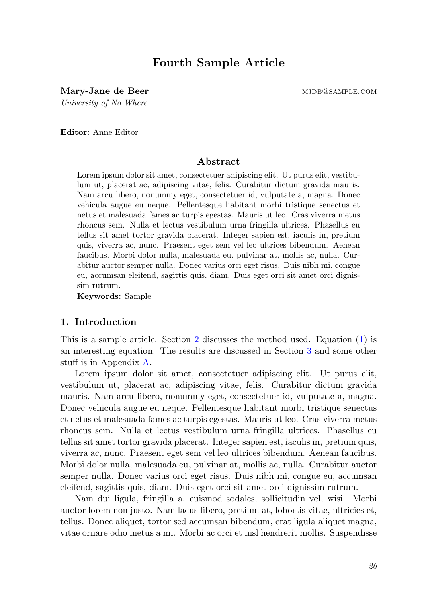## Fourth Sample Article

<span id="page-31-0"></span>Mary-Jane de Beer middle and the middle model of  $MJDB@SAMPLE.$  COM

University of No Where

Editor: Anne Editor

#### Abstract

Lorem ipsum dolor sit amet, consectetuer adipiscing elit. Ut purus elit, vestibulum ut, placerat ac, adipiscing vitae, felis. Curabitur dictum gravida mauris. Nam arcu libero, nonummy eget, consectetuer id, vulputate a, magna. Donec vehicula augue eu neque. Pellentesque habitant morbi tristique senectus et netus et malesuada fames ac turpis egestas. Mauris ut leo. Cras viverra metus rhoncus sem. Nulla et lectus vestibulum urna fringilla ultrices. Phasellus eu tellus sit amet tortor gravida placerat. Integer sapien est, iaculis in, pretium quis, viverra ac, nunc. Praesent eget sem vel leo ultrices bibendum. Aenean faucibus. Morbi dolor nulla, malesuada eu, pulvinar at, mollis ac, nulla. Curabitur auctor semper nulla. Donec varius orci eget risus. Duis nibh mi, congue eu, accumsan eleifend, sagittis quis, diam. Duis eget orci sit amet orci dignissim rutrum.

Keywords: Sample

#### 1. Introduction

This is a sample article. Section [2](#page-33-0) discusses the method used. Equation [\(1\)](#page-34-0) is an interesting equation. The results are discussed in Section [3](#page-34-1) and some other stuff is in Appendix [A.](#page-36-0)

Lorem ipsum dolor sit amet, consectetuer adipiscing elit. Ut purus elit, vestibulum ut, placerat ac, adipiscing vitae, felis. Curabitur dictum gravida mauris. Nam arcu libero, nonummy eget, consectetuer id, vulputate a, magna. Donec vehicula augue eu neque. Pellentesque habitant morbi tristique senectus et netus et malesuada fames ac turpis egestas. Mauris ut leo. Cras viverra metus rhoncus sem. Nulla et lectus vestibulum urna fringilla ultrices. Phasellus eu tellus sit amet tortor gravida placerat. Integer sapien est, iaculis in, pretium quis, viverra ac, nunc. Praesent eget sem vel leo ultrices bibendum. Aenean faucibus. Morbi dolor nulla, malesuada eu, pulvinar at, mollis ac, nulla. Curabitur auctor semper nulla. Donec varius orci eget risus. Duis nibh mi, congue eu, accumsan eleifend, sagittis quis, diam. Duis eget orci sit amet orci dignissim rutrum.

Nam dui ligula, fringilla a, euismod sodales, sollicitudin vel, wisi. Morbi auctor lorem non justo. Nam lacus libero, pretium at, lobortis vitae, ultricies et, tellus. Donec aliquet, tortor sed accumsan bibendum, erat ligula aliquet magna, vitae ornare odio metus a mi. Morbi ac orci et nisl hendrerit mollis. Suspendisse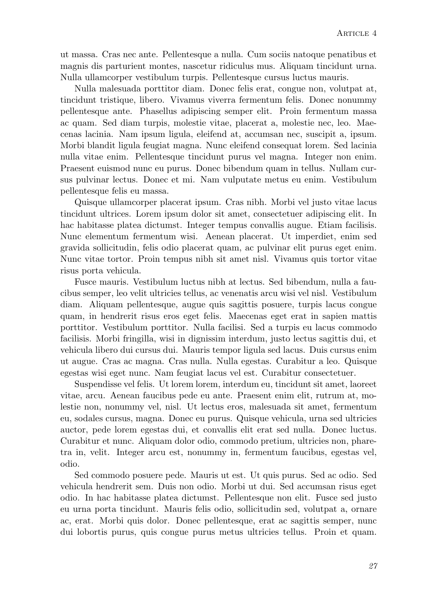ut massa. Cras nec ante. Pellentesque a nulla. Cum sociis natoque penatibus et magnis dis parturient montes, nascetur ridiculus mus. Aliquam tincidunt urna. Nulla ullamcorper vestibulum turpis. Pellentesque cursus luctus mauris.

Nulla malesuada porttitor diam. Donec felis erat, congue non, volutpat at, tincidunt tristique, libero. Vivamus viverra fermentum felis. Donec nonummy pellentesque ante. Phasellus adipiscing semper elit. Proin fermentum massa ac quam. Sed diam turpis, molestie vitae, placerat a, molestie nec, leo. Maecenas lacinia. Nam ipsum ligula, eleifend at, accumsan nec, suscipit a, ipsum. Morbi blandit ligula feugiat magna. Nunc eleifend consequat lorem. Sed lacinia nulla vitae enim. Pellentesque tincidunt purus vel magna. Integer non enim. Praesent euismod nunc eu purus. Donec bibendum quam in tellus. Nullam cursus pulvinar lectus. Donec et mi. Nam vulputate metus eu enim. Vestibulum pellentesque felis eu massa.

Quisque ullamcorper placerat ipsum. Cras nibh. Morbi vel justo vitae lacus tincidunt ultrices. Lorem ipsum dolor sit amet, consectetuer adipiscing elit. In hac habitasse platea dictumst. Integer tempus convallis augue. Etiam facilisis. Nunc elementum fermentum wisi. Aenean placerat. Ut imperdiet, enim sed gravida sollicitudin, felis odio placerat quam, ac pulvinar elit purus eget enim. Nunc vitae tortor. Proin tempus nibh sit amet nisl. Vivamus quis tortor vitae risus porta vehicula.

Fusce mauris. Vestibulum luctus nibh at lectus. Sed bibendum, nulla a faucibus semper, leo velit ultricies tellus, ac venenatis arcu wisi vel nisl. Vestibulum diam. Aliquam pellentesque, augue quis sagittis posuere, turpis lacus congue quam, in hendrerit risus eros eget felis. Maecenas eget erat in sapien mattis porttitor. Vestibulum porttitor. Nulla facilisi. Sed a turpis eu lacus commodo facilisis. Morbi fringilla, wisi in dignissim interdum, justo lectus sagittis dui, et vehicula libero dui cursus dui. Mauris tempor ligula sed lacus. Duis cursus enim ut augue. Cras ac magna. Cras nulla. Nulla egestas. Curabitur a leo. Quisque egestas wisi eget nunc. Nam feugiat lacus vel est. Curabitur consectetuer.

Suspendisse vel felis. Ut lorem lorem, interdum eu, tincidunt sit amet, laoreet vitae, arcu. Aenean faucibus pede eu ante. Praesent enim elit, rutrum at, molestie non, nonummy vel, nisl. Ut lectus eros, malesuada sit amet, fermentum eu, sodales cursus, magna. Donec eu purus. Quisque vehicula, urna sed ultricies auctor, pede lorem egestas dui, et convallis elit erat sed nulla. Donec luctus. Curabitur et nunc. Aliquam dolor odio, commodo pretium, ultricies non, pharetra in, velit. Integer arcu est, nonummy in, fermentum faucibus, egestas vel, odio.

Sed commodo posuere pede. Mauris ut est. Ut quis purus. Sed ac odio. Sed vehicula hendrerit sem. Duis non odio. Morbi ut dui. Sed accumsan risus eget odio. In hac habitasse platea dictumst. Pellentesque non elit. Fusce sed justo eu urna porta tincidunt. Mauris felis odio, sollicitudin sed, volutpat a, ornare ac, erat. Morbi quis dolor. Donec pellentesque, erat ac sagittis semper, nunc dui lobortis purus, quis congue purus metus ultricies tellus. Proin et quam.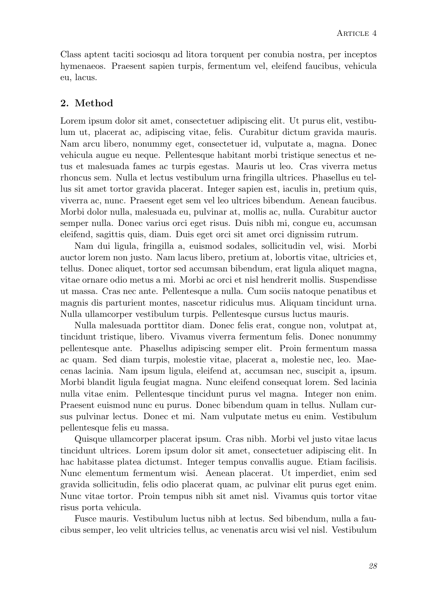Class aptent taciti sociosqu ad litora torquent per conubia nostra, per inceptos hymenaeos. Praesent sapien turpis, fermentum vel, eleifend faucibus, vehicula eu, lacus.

#### <span id="page-33-0"></span>2. Method

Lorem ipsum dolor sit amet, consectetuer adipiscing elit. Ut purus elit, vestibulum ut, placerat ac, adipiscing vitae, felis. Curabitur dictum gravida mauris. Nam arcu libero, nonummy eget, consectetuer id, vulputate a, magna. Donec vehicula augue eu neque. Pellentesque habitant morbi tristique senectus et netus et malesuada fames ac turpis egestas. Mauris ut leo. Cras viverra metus rhoncus sem. Nulla et lectus vestibulum urna fringilla ultrices. Phasellus eu tellus sit amet tortor gravida placerat. Integer sapien est, iaculis in, pretium quis, viverra ac, nunc. Praesent eget sem vel leo ultrices bibendum. Aenean faucibus. Morbi dolor nulla, malesuada eu, pulvinar at, mollis ac, nulla. Curabitur auctor semper nulla. Donec varius orci eget risus. Duis nibh mi, congue eu, accumsan eleifend, sagittis quis, diam. Duis eget orci sit amet orci dignissim rutrum.

Nam dui ligula, fringilla a, euismod sodales, sollicitudin vel, wisi. Morbi auctor lorem non justo. Nam lacus libero, pretium at, lobortis vitae, ultricies et, tellus. Donec aliquet, tortor sed accumsan bibendum, erat ligula aliquet magna, vitae ornare odio metus a mi. Morbi ac orci et nisl hendrerit mollis. Suspendisse ut massa. Cras nec ante. Pellentesque a nulla. Cum sociis natoque penatibus et magnis dis parturient montes, nascetur ridiculus mus. Aliquam tincidunt urna. Nulla ullamcorper vestibulum turpis. Pellentesque cursus luctus mauris.

Nulla malesuada porttitor diam. Donec felis erat, congue non, volutpat at, tincidunt tristique, libero. Vivamus viverra fermentum felis. Donec nonummy pellentesque ante. Phasellus adipiscing semper elit. Proin fermentum massa ac quam. Sed diam turpis, molestie vitae, placerat a, molestie nec, leo. Maecenas lacinia. Nam ipsum ligula, eleifend at, accumsan nec, suscipit a, ipsum. Morbi blandit ligula feugiat magna. Nunc eleifend consequat lorem. Sed lacinia nulla vitae enim. Pellentesque tincidunt purus vel magna. Integer non enim. Praesent euismod nunc eu purus. Donec bibendum quam in tellus. Nullam cursus pulvinar lectus. Donec et mi. Nam vulputate metus eu enim. Vestibulum pellentesque felis eu massa.

Quisque ullamcorper placerat ipsum. Cras nibh. Morbi vel justo vitae lacus tincidunt ultrices. Lorem ipsum dolor sit amet, consectetuer adipiscing elit. In hac habitasse platea dictumst. Integer tempus convallis augue. Etiam facilisis. Nunc elementum fermentum wisi. Aenean placerat. Ut imperdiet, enim sed gravida sollicitudin, felis odio placerat quam, ac pulvinar elit purus eget enim. Nunc vitae tortor. Proin tempus nibh sit amet nisl. Vivamus quis tortor vitae risus porta vehicula.

Fusce mauris. Vestibulum luctus nibh at lectus. Sed bibendum, nulla a faucibus semper, leo velit ultricies tellus, ac venenatis arcu wisi vel nisl. Vestibulum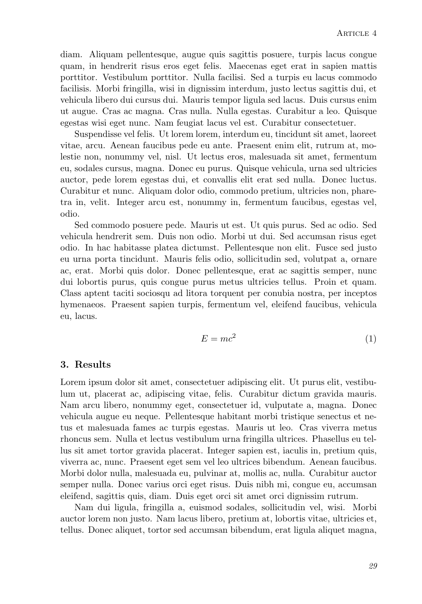diam. Aliquam pellentesque, augue quis sagittis posuere, turpis lacus congue quam, in hendrerit risus eros eget felis. Maecenas eget erat in sapien mattis porttitor. Vestibulum porttitor. Nulla facilisi. Sed a turpis eu lacus commodo facilisis. Morbi fringilla, wisi in dignissim interdum, justo lectus sagittis dui, et vehicula libero dui cursus dui. Mauris tempor ligula sed lacus. Duis cursus enim ut augue. Cras ac magna. Cras nulla. Nulla egestas. Curabitur a leo. Quisque egestas wisi eget nunc. Nam feugiat lacus vel est. Curabitur consectetuer.

Suspendisse vel felis. Ut lorem lorem, interdum eu, tincidunt sit amet, laoreet vitae, arcu. Aenean faucibus pede eu ante. Praesent enim elit, rutrum at, molestie non, nonummy vel, nisl. Ut lectus eros, malesuada sit amet, fermentum eu, sodales cursus, magna. Donec eu purus. Quisque vehicula, urna sed ultricies auctor, pede lorem egestas dui, et convallis elit erat sed nulla. Donec luctus. Curabitur et nunc. Aliquam dolor odio, commodo pretium, ultricies non, pharetra in, velit. Integer arcu est, nonummy in, fermentum faucibus, egestas vel, odio.

Sed commodo posuere pede. Mauris ut est. Ut quis purus. Sed ac odio. Sed vehicula hendrerit sem. Duis non odio. Morbi ut dui. Sed accumsan risus eget odio. In hac habitasse platea dictumst. Pellentesque non elit. Fusce sed justo eu urna porta tincidunt. Mauris felis odio, sollicitudin sed, volutpat a, ornare ac, erat. Morbi quis dolor. Donec pellentesque, erat ac sagittis semper, nunc dui lobortis purus, quis congue purus metus ultricies tellus. Proin et quam. Class aptent taciti sociosqu ad litora torquent per conubia nostra, per inceptos hymenaeos. Praesent sapien turpis, fermentum vel, eleifend faucibus, vehicula eu, lacus.

<span id="page-34-0"></span>
$$
E = mc^2 \tag{1}
$$

#### <span id="page-34-1"></span>3. Results

Lorem ipsum dolor sit amet, consectetuer adipiscing elit. Ut purus elit, vestibulum ut, placerat ac, adipiscing vitae, felis. Curabitur dictum gravida mauris. Nam arcu libero, nonummy eget, consectetuer id, vulputate a, magna. Donec vehicula augue eu neque. Pellentesque habitant morbi tristique senectus et netus et malesuada fames ac turpis egestas. Mauris ut leo. Cras viverra metus rhoncus sem. Nulla et lectus vestibulum urna fringilla ultrices. Phasellus eu tellus sit amet tortor gravida placerat. Integer sapien est, iaculis in, pretium quis, viverra ac, nunc. Praesent eget sem vel leo ultrices bibendum. Aenean faucibus. Morbi dolor nulla, malesuada eu, pulvinar at, mollis ac, nulla. Curabitur auctor semper nulla. Donec varius orci eget risus. Duis nibh mi, congue eu, accumsan eleifend, sagittis quis, diam. Duis eget orci sit amet orci dignissim rutrum.

Nam dui ligula, fringilla a, euismod sodales, sollicitudin vel, wisi. Morbi auctor lorem non justo. Nam lacus libero, pretium at, lobortis vitae, ultricies et, tellus. Donec aliquet, tortor sed accumsan bibendum, erat ligula aliquet magna,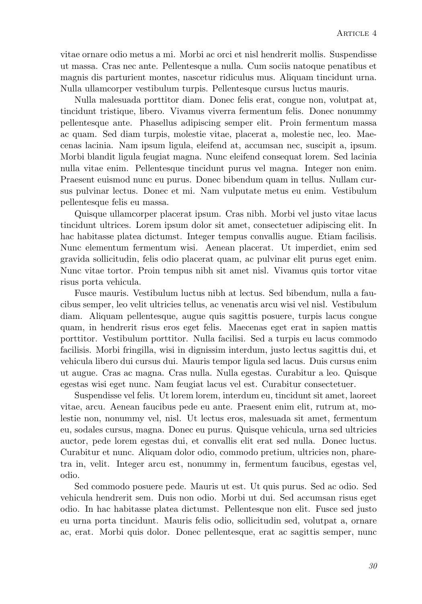vitae ornare odio metus a mi. Morbi ac orci et nisl hendrerit mollis. Suspendisse ut massa. Cras nec ante. Pellentesque a nulla. Cum sociis natoque penatibus et magnis dis parturient montes, nascetur ridiculus mus. Aliquam tincidunt urna. Nulla ullamcorper vestibulum turpis. Pellentesque cursus luctus mauris.

Nulla malesuada porttitor diam. Donec felis erat, congue non, volutpat at, tincidunt tristique, libero. Vivamus viverra fermentum felis. Donec nonummy pellentesque ante. Phasellus adipiscing semper elit. Proin fermentum massa ac quam. Sed diam turpis, molestie vitae, placerat a, molestie nec, leo. Maecenas lacinia. Nam ipsum ligula, eleifend at, accumsan nec, suscipit a, ipsum. Morbi blandit ligula feugiat magna. Nunc eleifend consequat lorem. Sed lacinia nulla vitae enim. Pellentesque tincidunt purus vel magna. Integer non enim. Praesent euismod nunc eu purus. Donec bibendum quam in tellus. Nullam cursus pulvinar lectus. Donec et mi. Nam vulputate metus eu enim. Vestibulum pellentesque felis eu massa.

Quisque ullamcorper placerat ipsum. Cras nibh. Morbi vel justo vitae lacus tincidunt ultrices. Lorem ipsum dolor sit amet, consectetuer adipiscing elit. In hac habitasse platea dictumst. Integer tempus convallis augue. Etiam facilisis. Nunc elementum fermentum wisi. Aenean placerat. Ut imperdiet, enim sed gravida sollicitudin, felis odio placerat quam, ac pulvinar elit purus eget enim. Nunc vitae tortor. Proin tempus nibh sit amet nisl. Vivamus quis tortor vitae risus porta vehicula.

Fusce mauris. Vestibulum luctus nibh at lectus. Sed bibendum, nulla a faucibus semper, leo velit ultricies tellus, ac venenatis arcu wisi vel nisl. Vestibulum diam. Aliquam pellentesque, augue quis sagittis posuere, turpis lacus congue quam, in hendrerit risus eros eget felis. Maecenas eget erat in sapien mattis porttitor. Vestibulum porttitor. Nulla facilisi. Sed a turpis eu lacus commodo facilisis. Morbi fringilla, wisi in dignissim interdum, justo lectus sagittis dui, et vehicula libero dui cursus dui. Mauris tempor ligula sed lacus. Duis cursus enim ut augue. Cras ac magna. Cras nulla. Nulla egestas. Curabitur a leo. Quisque egestas wisi eget nunc. Nam feugiat lacus vel est. Curabitur consectetuer.

Suspendisse vel felis. Ut lorem lorem, interdum eu, tincidunt sit amet, laoreet vitae, arcu. Aenean faucibus pede eu ante. Praesent enim elit, rutrum at, molestie non, nonummy vel, nisl. Ut lectus eros, malesuada sit amet, fermentum eu, sodales cursus, magna. Donec eu purus. Quisque vehicula, urna sed ultricies auctor, pede lorem egestas dui, et convallis elit erat sed nulla. Donec luctus. Curabitur et nunc. Aliquam dolor odio, commodo pretium, ultricies non, pharetra in, velit. Integer arcu est, nonummy in, fermentum faucibus, egestas vel, odio.

Sed commodo posuere pede. Mauris ut est. Ut quis purus. Sed ac odio. Sed vehicula hendrerit sem. Duis non odio. Morbi ut dui. Sed accumsan risus eget odio. In hac habitasse platea dictumst. Pellentesque non elit. Fusce sed justo eu urna porta tincidunt. Mauris felis odio, sollicitudin sed, volutpat a, ornare ac, erat. Morbi quis dolor. Donec pellentesque, erat ac sagittis semper, nunc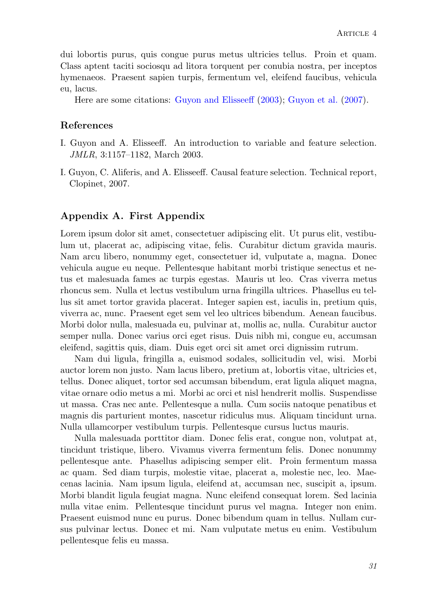dui lobortis purus, quis congue purus metus ultricies tellus. Proin et quam. Class aptent taciti sociosqu ad litora torquent per conubia nostra, per inceptos hymenaeos. Praesent sapien turpis, fermentum vel, eleifend faucibus, vehicula eu, lacus.

Here are some citations: [Guyon and Elisseeff](#page-36-1) [\(2003\)](#page-36-1); [Guyon et al.](#page-36-2) [\(2007\)](#page-36-2).

#### References

- <span id="page-36-1"></span>I. Guyon and A. Elisseeff. An introduction to variable and feature selection. JMLR, 3:1157–1182, March 2003.
- <span id="page-36-2"></span>I. Guyon, C. Aliferis, and A. Elisseeff. Causal feature selection. Technical report, Clopinet, 2007.

#### <span id="page-36-0"></span>Appendix A. First Appendix

Lorem ipsum dolor sit amet, consectetuer adipiscing elit. Ut purus elit, vestibulum ut, placerat ac, adipiscing vitae, felis. Curabitur dictum gravida mauris. Nam arcu libero, nonummy eget, consectetuer id, vulputate a, magna. Donec vehicula augue eu neque. Pellentesque habitant morbi tristique senectus et netus et malesuada fames ac turpis egestas. Mauris ut leo. Cras viverra metus rhoncus sem. Nulla et lectus vestibulum urna fringilla ultrices. Phasellus eu tellus sit amet tortor gravida placerat. Integer sapien est, iaculis in, pretium quis, viverra ac, nunc. Praesent eget sem vel leo ultrices bibendum. Aenean faucibus. Morbi dolor nulla, malesuada eu, pulvinar at, mollis ac, nulla. Curabitur auctor semper nulla. Donec varius orci eget risus. Duis nibh mi, congue eu, accumsan eleifend, sagittis quis, diam. Duis eget orci sit amet orci dignissim rutrum.

Nam dui ligula, fringilla a, euismod sodales, sollicitudin vel, wisi. Morbi auctor lorem non justo. Nam lacus libero, pretium at, lobortis vitae, ultricies et, tellus. Donec aliquet, tortor sed accumsan bibendum, erat ligula aliquet magna, vitae ornare odio metus a mi. Morbi ac orci et nisl hendrerit mollis. Suspendisse ut massa. Cras nec ante. Pellentesque a nulla. Cum sociis natoque penatibus et magnis dis parturient montes, nascetur ridiculus mus. Aliquam tincidunt urna. Nulla ullamcorper vestibulum turpis. Pellentesque cursus luctus mauris.

Nulla malesuada porttitor diam. Donec felis erat, congue non, volutpat at, tincidunt tristique, libero. Vivamus viverra fermentum felis. Donec nonummy pellentesque ante. Phasellus adipiscing semper elit. Proin fermentum massa ac quam. Sed diam turpis, molestie vitae, placerat a, molestie nec, leo. Maecenas lacinia. Nam ipsum ligula, eleifend at, accumsan nec, suscipit a, ipsum. Morbi blandit ligula feugiat magna. Nunc eleifend consequat lorem. Sed lacinia nulla vitae enim. Pellentesque tincidunt purus vel magna. Integer non enim. Praesent euismod nunc eu purus. Donec bibendum quam in tellus. Nullam cursus pulvinar lectus. Donec et mi. Nam vulputate metus eu enim. Vestibulum pellentesque felis eu massa.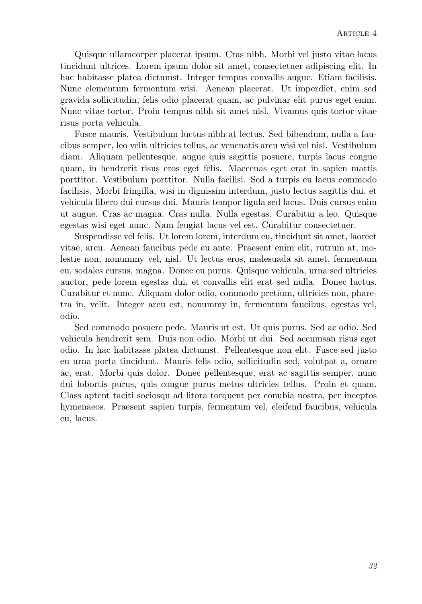Quisque ullamcorper placerat ipsum. Cras nibh. Morbi vel justo vitae lacus tincidunt ultrices. Lorem ipsum dolor sit amet, consectetuer adipiscing elit. In hac habitasse platea dictumst. Integer tempus convallis augue. Etiam facilisis. Nunc elementum fermentum wisi. Aenean placerat. Ut imperdiet, enim sed gravida sollicitudin, felis odio placerat quam, ac pulvinar elit purus eget enim. Nunc vitae tortor. Proin tempus nibh sit amet nisl. Vivamus quis tortor vitae risus porta vehicula.

Fusce mauris. Vestibulum luctus nibh at lectus. Sed bibendum, nulla a faucibus semper, leo velit ultricies tellus, ac venenatis arcu wisi vel nisl. Vestibulum diam. Aliquam pellentesque, augue quis sagittis posuere, turpis lacus congue quam, in hendrerit risus eros eget felis. Maecenas eget erat in sapien mattis porttitor. Vestibulum porttitor. Nulla facilisi. Sed a turpis eu lacus commodo facilisis. Morbi fringilla, wisi in dignissim interdum, justo lectus sagittis dui, et vehicula libero dui cursus dui. Mauris tempor ligula sed lacus. Duis cursus enim ut augue. Cras ac magna. Cras nulla. Nulla egestas. Curabitur a leo. Quisque egestas wisi eget nunc. Nam feugiat lacus vel est. Curabitur consectetuer.

Suspendisse vel felis. Ut lorem lorem, interdum eu, tincidunt sit amet, laoreet vitae, arcu. Aenean faucibus pede eu ante. Praesent enim elit, rutrum at, molestie non, nonummy vel, nisl. Ut lectus eros, malesuada sit amet, fermentum eu, sodales cursus, magna. Donec eu purus. Quisque vehicula, urna sed ultricies auctor, pede lorem egestas dui, et convallis elit erat sed nulla. Donec luctus. Curabitur et nunc. Aliquam dolor odio, commodo pretium, ultricies non, pharetra in, velit. Integer arcu est, nonummy in, fermentum faucibus, egestas vel, odio.

Sed commodo posuere pede. Mauris ut est. Ut quis purus. Sed ac odio. Sed vehicula hendrerit sem. Duis non odio. Morbi ut dui. Sed accumsan risus eget odio. In hac habitasse platea dictumst. Pellentesque non elit. Fusce sed justo eu urna porta tincidunt. Mauris felis odio, sollicitudin sed, volutpat a, ornare ac, erat. Morbi quis dolor. Donec pellentesque, erat ac sagittis semper, nunc dui lobortis purus, quis congue purus metus ultricies tellus. Proin et quam. Class aptent taciti sociosqu ad litora torquent per conubia nostra, per inceptos hymenaeos. Praesent sapien turpis, fermentum vel, eleifend faucibus, vehicula eu, lacus.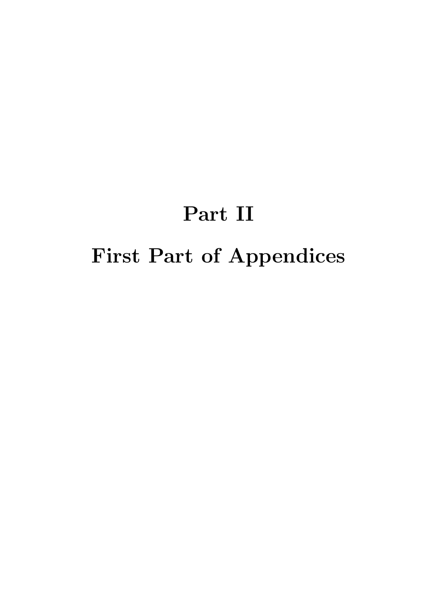# <span id="page-38-0"></span>Part II First Part of Appendices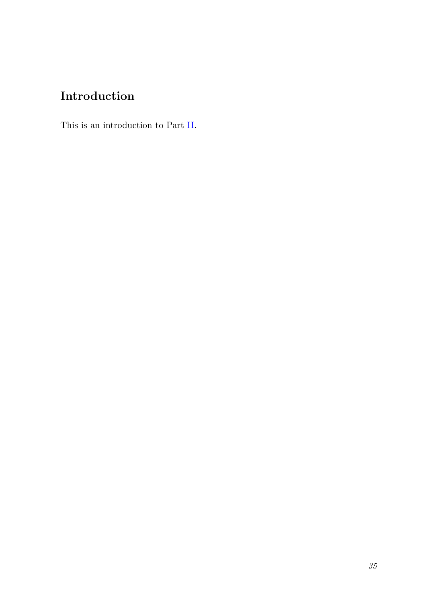# Introduction

This is an introduction to Part [II.](#page-38-0)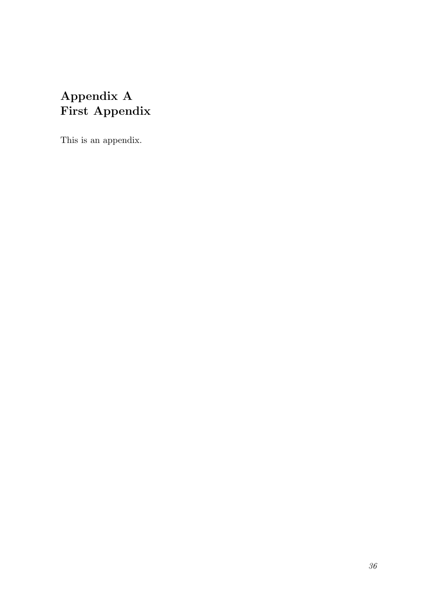# <span id="page-41-0"></span>Appendix A First Appendix

This is an appendix.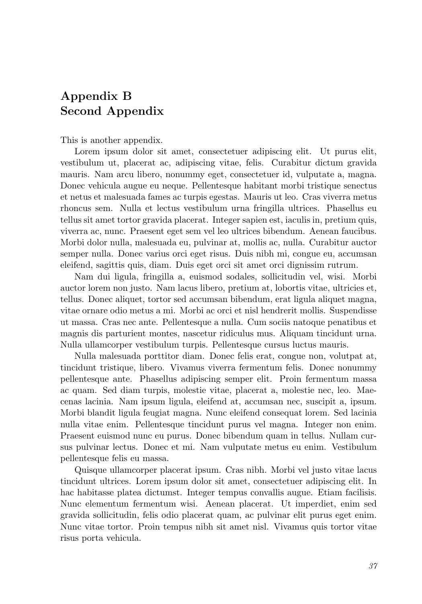# <span id="page-42-0"></span>Appendix B Second Appendix

This is another appendix.

Lorem ipsum dolor sit amet, consectetuer adipiscing elit. Ut purus elit, vestibulum ut, placerat ac, adipiscing vitae, felis. Curabitur dictum gravida mauris. Nam arcu libero, nonummy eget, consectetuer id, vulputate a, magna. Donec vehicula augue eu neque. Pellentesque habitant morbi tristique senectus et netus et malesuada fames ac turpis egestas. Mauris ut leo. Cras viverra metus rhoncus sem. Nulla et lectus vestibulum urna fringilla ultrices. Phasellus eu tellus sit amet tortor gravida placerat. Integer sapien est, iaculis in, pretium quis, viverra ac, nunc. Praesent eget sem vel leo ultrices bibendum. Aenean faucibus. Morbi dolor nulla, malesuada eu, pulvinar at, mollis ac, nulla. Curabitur auctor semper nulla. Donec varius orci eget risus. Duis nibh mi, congue eu, accumsan eleifend, sagittis quis, diam. Duis eget orci sit amet orci dignissim rutrum.

Nam dui ligula, fringilla a, euismod sodales, sollicitudin vel, wisi. Morbi auctor lorem non justo. Nam lacus libero, pretium at, lobortis vitae, ultricies et, tellus. Donec aliquet, tortor sed accumsan bibendum, erat ligula aliquet magna, vitae ornare odio metus a mi. Morbi ac orci et nisl hendrerit mollis. Suspendisse ut massa. Cras nec ante. Pellentesque a nulla. Cum sociis natoque penatibus et magnis dis parturient montes, nascetur ridiculus mus. Aliquam tincidunt urna. Nulla ullamcorper vestibulum turpis. Pellentesque cursus luctus mauris.

Nulla malesuada porttitor diam. Donec felis erat, congue non, volutpat at, tincidunt tristique, libero. Vivamus viverra fermentum felis. Donec nonummy pellentesque ante. Phasellus adipiscing semper elit. Proin fermentum massa ac quam. Sed diam turpis, molestie vitae, placerat a, molestie nec, leo. Maecenas lacinia. Nam ipsum ligula, eleifend at, accumsan nec, suscipit a, ipsum. Morbi blandit ligula feugiat magna. Nunc eleifend consequat lorem. Sed lacinia nulla vitae enim. Pellentesque tincidunt purus vel magna. Integer non enim. Praesent euismod nunc eu purus. Donec bibendum quam in tellus. Nullam cursus pulvinar lectus. Donec et mi. Nam vulputate metus eu enim. Vestibulum pellentesque felis eu massa.

Quisque ullamcorper placerat ipsum. Cras nibh. Morbi vel justo vitae lacus tincidunt ultrices. Lorem ipsum dolor sit amet, consectetuer adipiscing elit. In hac habitasse platea dictumst. Integer tempus convallis augue. Etiam facilisis. Nunc elementum fermentum wisi. Aenean placerat. Ut imperdiet, enim sed gravida sollicitudin, felis odio placerat quam, ac pulvinar elit purus eget enim. Nunc vitae tortor. Proin tempus nibh sit amet nisl. Vivamus quis tortor vitae risus porta vehicula.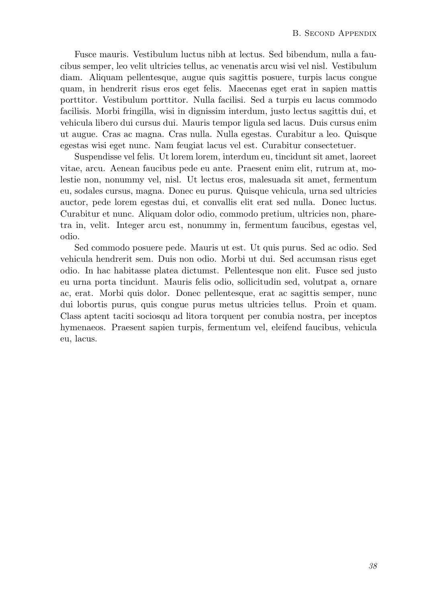Fusce mauris. Vestibulum luctus nibh at lectus. Sed bibendum, nulla a faucibus semper, leo velit ultricies tellus, ac venenatis arcu wisi vel nisl. Vestibulum diam. Aliquam pellentesque, augue quis sagittis posuere, turpis lacus congue quam, in hendrerit risus eros eget felis. Maecenas eget erat in sapien mattis porttitor. Vestibulum porttitor. Nulla facilisi. Sed a turpis eu lacus commodo facilisis. Morbi fringilla, wisi in dignissim interdum, justo lectus sagittis dui, et vehicula libero dui cursus dui. Mauris tempor ligula sed lacus. Duis cursus enim ut augue. Cras ac magna. Cras nulla. Nulla egestas. Curabitur a leo. Quisque egestas wisi eget nunc. Nam feugiat lacus vel est. Curabitur consectetuer.

Suspendisse vel felis. Ut lorem lorem, interdum eu, tincidunt sit amet, laoreet vitae, arcu. Aenean faucibus pede eu ante. Praesent enim elit, rutrum at, molestie non, nonummy vel, nisl. Ut lectus eros, malesuada sit amet, fermentum eu, sodales cursus, magna. Donec eu purus. Quisque vehicula, urna sed ultricies auctor, pede lorem egestas dui, et convallis elit erat sed nulla. Donec luctus. Curabitur et nunc. Aliquam dolor odio, commodo pretium, ultricies non, pharetra in, velit. Integer arcu est, nonummy in, fermentum faucibus, egestas vel, odio.

Sed commodo posuere pede. Mauris ut est. Ut quis purus. Sed ac odio. Sed vehicula hendrerit sem. Duis non odio. Morbi ut dui. Sed accumsan risus eget odio. In hac habitasse platea dictumst. Pellentesque non elit. Fusce sed justo eu urna porta tincidunt. Mauris felis odio, sollicitudin sed, volutpat a, ornare ac, erat. Morbi quis dolor. Donec pellentesque, erat ac sagittis semper, nunc dui lobortis purus, quis congue purus metus ultricies tellus. Proin et quam. Class aptent taciti sociosqu ad litora torquent per conubia nostra, per inceptos hymenaeos. Praesent sapien turpis, fermentum vel, eleifend faucibus, vehicula eu, lacus.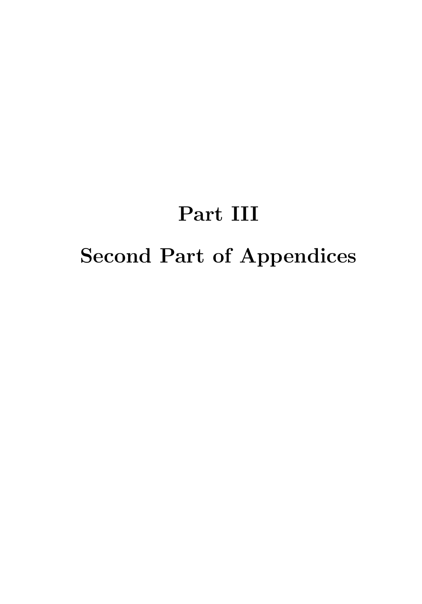# <span id="page-44-0"></span>Part III Second Part of Appendices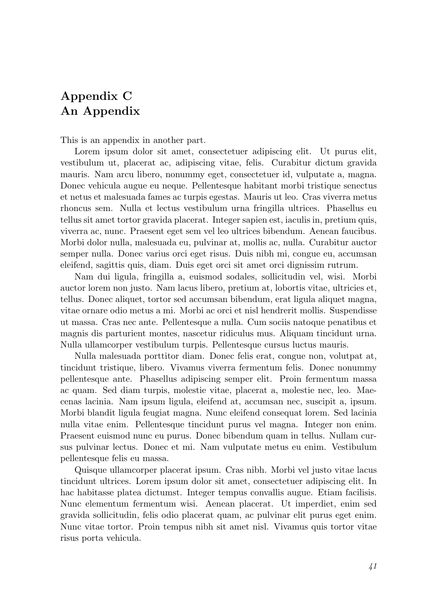# <span id="page-46-0"></span>Appendix C An Appendix

This is an appendix in another part.

Lorem ipsum dolor sit amet, consectetuer adipiscing elit. Ut purus elit, vestibulum ut, placerat ac, adipiscing vitae, felis. Curabitur dictum gravida mauris. Nam arcu libero, nonummy eget, consectetuer id, vulputate a, magna. Donec vehicula augue eu neque. Pellentesque habitant morbi tristique senectus et netus et malesuada fames ac turpis egestas. Mauris ut leo. Cras viverra metus rhoncus sem. Nulla et lectus vestibulum urna fringilla ultrices. Phasellus eu tellus sit amet tortor gravida placerat. Integer sapien est, iaculis in, pretium quis, viverra ac, nunc. Praesent eget sem vel leo ultrices bibendum. Aenean faucibus. Morbi dolor nulla, malesuada eu, pulvinar at, mollis ac, nulla. Curabitur auctor semper nulla. Donec varius orci eget risus. Duis nibh mi, congue eu, accumsan eleifend, sagittis quis, diam. Duis eget orci sit amet orci dignissim rutrum.

Nam dui ligula, fringilla a, euismod sodales, sollicitudin vel, wisi. Morbi auctor lorem non justo. Nam lacus libero, pretium at, lobortis vitae, ultricies et, tellus. Donec aliquet, tortor sed accumsan bibendum, erat ligula aliquet magna, vitae ornare odio metus a mi. Morbi ac orci et nisl hendrerit mollis. Suspendisse ut massa. Cras nec ante. Pellentesque a nulla. Cum sociis natoque penatibus et magnis dis parturient montes, nascetur ridiculus mus. Aliquam tincidunt urna. Nulla ullamcorper vestibulum turpis. Pellentesque cursus luctus mauris.

Nulla malesuada porttitor diam. Donec felis erat, congue non, volutpat at, tincidunt tristique, libero. Vivamus viverra fermentum felis. Donec nonummy pellentesque ante. Phasellus adipiscing semper elit. Proin fermentum massa ac quam. Sed diam turpis, molestie vitae, placerat a, molestie nec, leo. Maecenas lacinia. Nam ipsum ligula, eleifend at, accumsan nec, suscipit a, ipsum. Morbi blandit ligula feugiat magna. Nunc eleifend consequat lorem. Sed lacinia nulla vitae enim. Pellentesque tincidunt purus vel magna. Integer non enim. Praesent euismod nunc eu purus. Donec bibendum quam in tellus. Nullam cursus pulvinar lectus. Donec et mi. Nam vulputate metus eu enim. Vestibulum pellentesque felis eu massa.

Quisque ullamcorper placerat ipsum. Cras nibh. Morbi vel justo vitae lacus tincidunt ultrices. Lorem ipsum dolor sit amet, consectetuer adipiscing elit. In hac habitasse platea dictumst. Integer tempus convallis augue. Etiam facilisis. Nunc elementum fermentum wisi. Aenean placerat. Ut imperdiet, enim sed gravida sollicitudin, felis odio placerat quam, ac pulvinar elit purus eget enim. Nunc vitae tortor. Proin tempus nibh sit amet nisl. Vivamus quis tortor vitae risus porta vehicula.